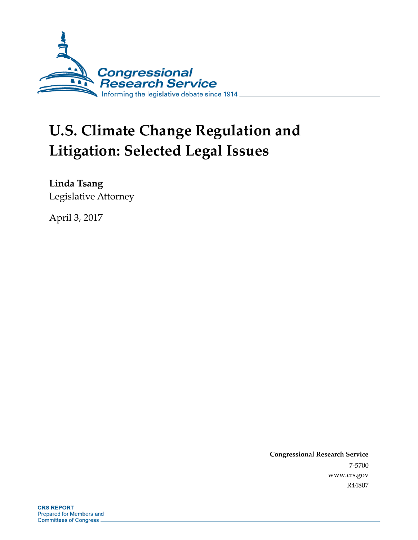

# **U.S. Climate Change Regulation and Litigation: Selected Legal Issues**

**Linda Tsang** Legislative Attorney

April 3, 2017

**Congressional Research Service** 7-5700 www.crs.gov R44807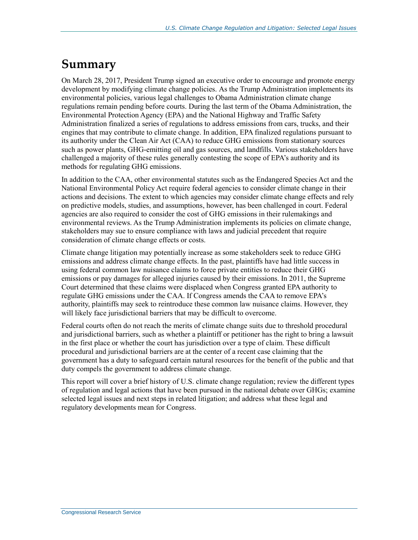## **Summary**

On March 28, 2017, President Trump signed an executive order to encourage and promote energy development by modifying climate change policies. As the Trump Administration implements its environmental policies, various legal challenges to Obama Administration climate change regulations remain pending before courts. During the last term of the Obama Administration, the Environmental Protection Agency (EPA) and the National Highway and Traffic Safety Administration finalized a series of regulations to address emissions from cars, trucks, and their engines that may contribute to climate change. In addition, EPA finalized regulations pursuant to its authority under the Clean Air Act (CAA) to reduce GHG emissions from stationary sources such as power plants, GHG-emitting oil and gas sources, and landfills. Various stakeholders have challenged a majority of these rules generally contesting the scope of EPA's authority and its methods for regulating GHG emissions.

In addition to the CAA, other environmental statutes such as the Endangered Species Act and the National Environmental Policy Act require federal agencies to consider climate change in their actions and decisions. The extent to which agencies may consider climate change effects and rely on predictive models, studies, and assumptions, however, has been challenged in court. Federal agencies are also required to consider the cost of GHG emissions in their rulemakings and environmental reviews. As the Trump Administration implements its policies on climate change, stakeholders may sue to ensure compliance with laws and judicial precedent that require consideration of climate change effects or costs.

Climate change litigation may potentially increase as some stakeholders seek to reduce GHG emissions and address climate change effects. In the past, plaintiffs have had little success in using federal common law nuisance claims to force private entities to reduce their GHG emissions or pay damages for alleged injuries caused by their emissions. In 2011, the Supreme Court determined that these claims were displaced when Congress granted EPA authority to regulate GHG emissions under the CAA. If Congress amends the CAA to remove EPA's authority, plaintiffs may seek to reintroduce these common law nuisance claims. However, they will likely face jurisdictional barriers that may be difficult to overcome.

Federal courts often do not reach the merits of climate change suits due to threshold procedural and jurisdictional barriers, such as whether a plaintiff or petitioner has the right to bring a lawsuit in the first place or whether the court has jurisdiction over a type of claim. These difficult procedural and jurisdictional barriers are at the center of a recent case claiming that the government has a duty to safeguard certain natural resources for the benefit of the public and that duty compels the government to address climate change.

This report will cover a brief history of U.S. climate change regulation; review the different types of regulation and legal actions that have been pursued in the national debate over GHGs; examine selected legal issues and next steps in related litigation; and address what these legal and regulatory developments mean for Congress.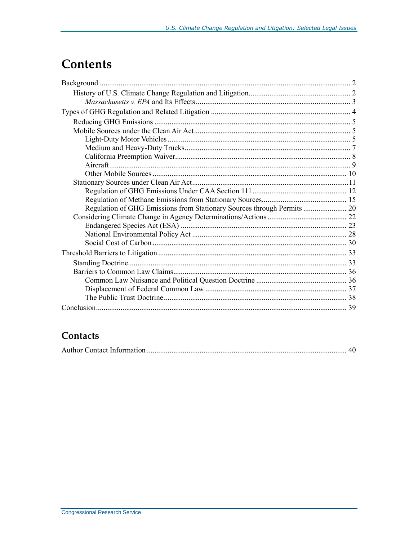## **Contents**

## Contacts

|--|--|--|--|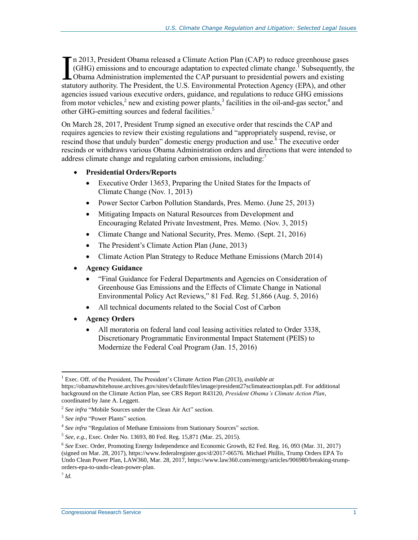n 2013, President Obama released a Climate Action Plan (CAP) to reduce greenhouse gases  $(GHG)$  emissions and to encourage adaptation to expected climate change.<sup>1</sup> Subsequently, the Obama Administration implemented the CAP pursuant to presidential powers and existing In 2013, President Obama released a Climate Action Plan (CAP) to reduce greenhouse gases (GHG) emissions and to encourage adaptation to expected climate change.<sup>1</sup> Subsequently, the Obama Administration implemented the CAP agencies issued various executive orders, guidance, and regulations to reduce GHG emissions from motor vehicles,<sup>2</sup> new and existing power plants,<sup>3</sup> facilities in the oil-and-gas sector,<sup>4</sup> and other GHG-emitting sources and federal facilities.<sup>5</sup>

On March 28, 2017, President Trump signed an executive order that rescinds the CAP and requires agencies to review their existing regulations and "appropriately suspend, revise, or rescind those that unduly burden" domestic energy production and use. <sup>6</sup> The executive order rescinds or withdraws various Obama Administration orders and directions that were intended to address climate change and regulating carbon emissions, including:<sup>7</sup>

#### **Presidential Orders/Reports**

- Executive Order 13653, Preparing the United States for the Impacts of Climate Change (Nov. 1, 2013)
- Power Sector Carbon Pollution Standards, Pres. Memo. (June 25, 2013)
- Mitigating Impacts on Natural Resources from Development and Encouraging Related Private Investment, Pres. Memo. (Nov. 3, 2015)
- Climate Change and National Security, Pres. Memo. (Sept. 21, 2016)
- The President's Climate Action Plan (June, 2013)
- Climate Action Plan Strategy to Reduce Methane Emissions (March 2014)
- **Agency Guidance**
	- "Final Guidance for Federal Departments and Agencies on Consideration of Greenhouse Gas Emissions and the Effects of Climate Change in National Environmental Policy Act Reviews," 81 Fed. Reg. 51,866 (Aug. 5, 2016)
	- All technical documents related to the Social Cost of Carbon
- **Agency Orders**
	- All moratoria on federal land coal leasing activities related to Order 3338, Discretionary Programmatic Environmental Impact Statement (PEIS) to Modernize the Federal Coal Program (Jan. 15, 2016)

<sup>1</sup> Exec. Off. of the President, The President's Climate Action Plan (2013), *available at* https://obamawhitehouse.archives.gov/sites/default/files/image/president27sclimateactionplan.pdf. For additional background on the Climate Action Plan, see CRS Report R43120, *President Obama's Climate Action Plan*, coordinated by Jane A. Leggett.

<sup>&</sup>lt;sup>2</sup> See infra ["Mobile Sources under the Clean Air Act"](#page-7-0) section.

<sup>&</sup>lt;sup>3</sup> See infra ["Power Plants"](#page-15-0) section.

<sup>&</sup>lt;sup>4</sup> See infra ["Regulation of Methane Emissions from Stationary Sources"](#page-17-0) section.

<sup>5</sup> *See, e.g.*, Exec. Order No. 13693, 80 Fed. Reg. 15,871 (Mar. 25, 2015).

<sup>6</sup> *See* Exec. Order, Promoting Energy Independence and Economic Growth, 82 Fed. Reg. 16, 093 (Mar. 31, 2017) (signed on Mar. 28, 2017), https://www.federalregister.gov/d/2017-06576. Michael Phillis, Trump Orders EPA To Undo Clean Power Plan, LAW360, Mar. 28, 2017, https://www.law360.com/energy/articles/906980/breaking-trumporders-epa-to-undo-clean-power-plan.

<sup>7</sup> *Id.*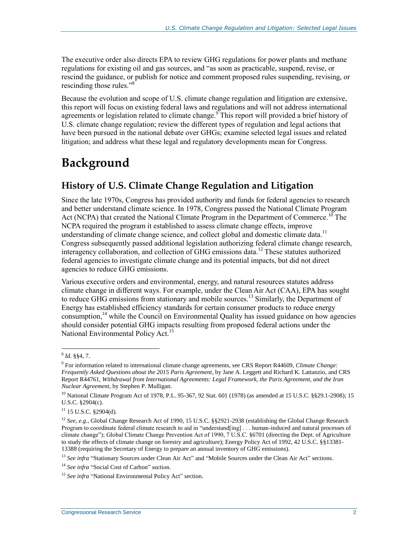The executive order also directs EPA to review GHG regulations for power plants and methane regulations for existing oil and gas sources, and "as soon as practicable, suspend, revise, or rescind the guidance, or publish for notice and comment proposed rules suspending, revising, or rescinding those rules."<sup>8</sup>

Because the evolution and scope of U.S. climate change regulation and litigation are extensive, this report will focus on existing federal laws and regulations and will not address international agreements or legislation related to climate change.<sup>9</sup> This report will provided a brief history of U.S. climate change regulation; review the different types of regulation and legal actions that have been pursued in the national debate over GHGs; examine selected legal issues and related litigation; and address what these legal and regulatory developments mean for Congress.

## **Background**

## **History of U.S. Climate Change Regulation and Litigation**

Since the late 1970s, Congress has provided authority and funds for federal agencies to research and better understand climate science. In 1978, Congress passed the National Climate Program Act (NCPA) that created the National Climate Program in the Department of Commerce.<sup>10</sup> The NCPA required the program it established to assess climate change effects, improve understanding of climate change science, and collect global and domestic climate data.<sup>11</sup> Congress subsequently passed additional legislation authorizing federal climate change research, interagency collaboration, and collection of GHG emissions data.<sup>12</sup> These statutes authorized federal agencies to investigate climate change and its potential impacts, but did not direct agencies to reduce GHG emissions.

Various executive orders and environmental, energy, and natural resources statutes address climate change in different ways. For example, under the Clean Air Act (CAA), EPA has sought to reduce GHG emissions from stationary and mobile sources. <sup>13</sup> Similarly, the Department of Energy has established efficiency standards for certain consumer products to reduce energy consumption,<sup>14</sup> while the Council on Environmental Quality has issued guidance on how agencies should consider potential GHG impacts resulting from proposed federal actions under the National Environmental Policy Act.<sup>15</sup>

 $\overline{a}$ 

<sup>13</sup> See infra ["Stationary Sources under Clean Air Act"](#page-13-0) and ["Mobile Sources under the Clean Air Act"](#page-7-0) sections.

<sup>8</sup> *Id.* §§4, 7.

<sup>9</sup> For information related to international climate change agreements, see CRS Report R44609, *Climate Change: Frequently Asked Questions about the 2015 Paris Agreement*, by Jane A. Leggett and Richard K. Lattanzio, and CRS Report R44761, *Withdrawal from International Agreements: Legal Framework, the Paris Agreement, and the Iran Nuclear Agreement*, by Stephen P. Mulligan.

<sup>&</sup>lt;sup>10</sup> National Climate Program Act of 1978, P.L. 95-367, 92 Stat. 601 (1978) (as amended at 15 U.S.C. §§29.1-2908); 15 U.S.C. §2904(c).

 $11$  15 U.S.C. §2904(d).

<sup>&</sup>lt;sup>12</sup> *See, e.g.*, Global Change Research Act of 1990, 15 U.S.C. §§2921-2938 (establishing the Global Change Research Program to coordinate federal climate research to aid in "understand[ing] . . . human-induced and natural processes of climate change"); Global Climate Change Prevention Act of 1990, 7 U.S.C. §6701 (directing the Dept. of Agriculture to study the effects of climate change on forestry and agriculture); Energy Policy Act of 1992, 42 U.S.C. §§13381-13388 (requiring the Secretary of Energy to prepare an annual inventory of GHG emissions).

<sup>&</sup>lt;sup>14</sup> See infra ["Social Cost of Carbon"](#page-32-0) section.

<sup>&</sup>lt;sup>15</sup> See infra ["National Environmental Policy Act"](#page-30-0) section.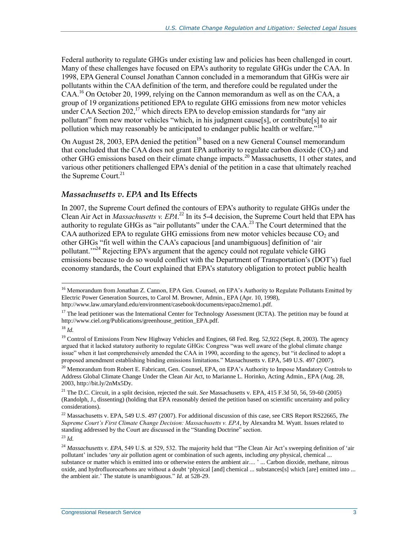Federal authority to regulate GHGs under existing law and policies has been challenged in court. Many of these challenges have focused on EPA's authority to regulate GHGs under the CAA. In 1998, EPA General Counsel Jonathan Cannon concluded in a memorandum that GHGs were air pollutants within the CAA definition of the term, and therefore could be regulated under the  $\text{CAA}$ .<sup>16</sup> On October 20, 1999, relying on the Cannon memorandum as well as on the CAA, a group of 19 organizations petitioned EPA to regulate GHG emissions from new motor vehicles under CAA Section  $202$ ,<sup>17</sup> which directs EPA to develop emission standards for "any air pollutant" from new motor vehicles "which, in his judgment cause[s], or contribute[s] to air pollution which may reasonably be anticipated to endanger public health or welfare.<sup>"18</sup>

On August 28, 2003, EPA denied the petition<sup>19</sup> based on a new General Counsel memorandum that concluded that the CAA does not grant EPA authority to regulate carbon dioxide  $(CO<sub>2</sub>)$  and other GHG emissions based on their climate change impacts.<sup>20</sup> Massachusetts, 11 other states, and various other petitioners challenged EPA's denial of the petition in a case that ultimately reached the Supreme Court.<sup>21</sup>

#### *Massachusetts v. EPA* **and Its Effects**

In 2007, the Supreme Court defined the contours of EPA's authority to regulate GHGs under the Clean Air Act in *Massachusetts v. EPA*.<sup>22</sup> In its 5-4 decision, the Supreme Court held that EPA has authority to regulate GHGs as "air pollutants" under the CAA.<sup>23</sup> The Court determined that the CAA authorized EPA to regulate GHG emissions from new motor vehicles because  $CO<sub>2</sub>$  and other GHGs "fit well within the CAA's capacious [and unambiguous] definition of 'air pollutant.<sup>"24</sup> Rejecting EPA's argument that the agency could not regulate vehicle GHG emissions because to do so would conflict with the Department of Transportation's (DOT's) fuel economy standards, the Court explained that EPA's statutory obligation to protect public health

<sup>&</sup>lt;sup>16</sup> Memorandum from Jonathan Z. Cannon, EPA Gen. Counsel, on EPA's Authority to Regulate Pollutants Emitted by Electric Power Generation Sources, to Carol M. Browner, Admin., EPA (Apr. 10, 1998),

http://www.law.umaryland.edu/environment/casebook/documents/epaco2memo1.pdf.

<sup>&</sup>lt;sup>17</sup> The lead petitioner was the International Center for Technology Assessment (ICTA). The petition may be found at http://www.ciel.org/Publications/greenhouse\_petition\_EPA.pdf.

<sup>18</sup> *Id.*

<sup>&</sup>lt;sup>19</sup> Control of Emissions From New Highway Vehicles and Engines, 68 Fed. Reg. 52,922 (Sept. 8, 2003). The agency argued that it lacked statutory authority to regulate GHGs: Congress "was well aware of the global climate change issue" when it last comprehensively amended the CAA in 1990, according to the agency, but "it declined to adopt a proposed amendment establishing binding emissions limitations." Massachusetts v. EPA, 549 U.S. 497 (2007).

<sup>&</sup>lt;sup>20</sup> Memorandum from Robert E. Fabricant, Gen. Counsel, EPA, on EPA's Authority to Impose Mandatory Controls to Address Global Climate Change Under the Clean Air Act, to Marianne L. Horinko, Acting Admin., EPA (Aug. 28, 2003, http://bit.ly/2nMx5Dy.

<sup>21</sup> The D.C. Circuit, in a split decision, rejected the suit. *See* Massachusetts v. EPA, 415 F.3d 50, 56, 59-60 (2005) (Randolph, J., dissenting) (holding that EPA reasonably denied the petition based on scientific uncertainty and policy considerations).

<sup>22</sup> Massachusetts v. EPA, 549 U.S. 497 (2007). For additional discussion of this case, see CRS Report RS22665, *The Supreme Court's First Climate Change Decision: Massachusetts v. EPA*, by Alexandra M. Wyatt. Issues related to standing addressed by the Court are discussed in the ["Standing Doctrine"](#page-35-0) section.

<sup>23</sup> *Id.*

<sup>&</sup>lt;sup>24</sup> Massachusetts v. EPA, 549 U.S. at 529, 532. The majority held that "The Clean Air Act's sweeping definition of 'air pollutant' includes '*any* air pollution agent or combination of such agents, including *any* physical, chemical ... substance or matter which is emitted into or otherwise enters the ambient air.... ' ... Carbon dioxide, methane, nitrous oxide, and hydrofluorocarbons are without a doubt 'physical [and] chemical ... substances[s] which [are] emitted into ... the ambient air.' The statute is unambiguous." *Id.* at 528-29.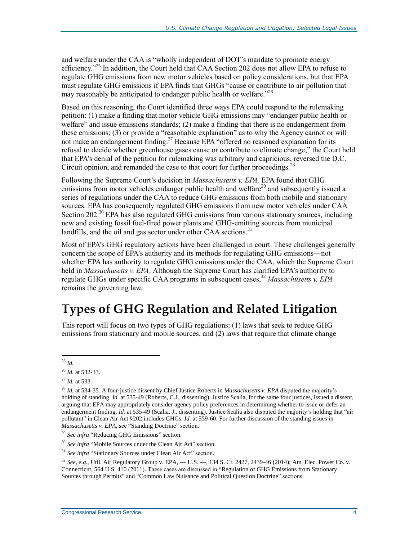and welfare under the CAA is "wholly independent of DOT's mandate to promote energy efficiency."<sup>25</sup> In addition, the Court held that CAA Section 202 does not allow EPA to refuse to regulate GHG emissions from new motor vehicles based on policy considerations, but that EPA must regulate GHG emissions if EPA finds that GHGs "cause or contribute to air pollution that may reasonably be anticipated to endanger public health or welfare."<sup>26</sup>

Based on this reasoning, the Court identified three ways EPA could respond to the rulemaking petition: (1) make a finding that motor vehicle GHG emissions may "endanger public health or welfare" and issue emissions standards; (2) make a finding that there is no endangerment from these emissions; (3) or provide a "reasonable explanation" as to why the Agency cannot or will not make an endangerment finding.<sup>27</sup> Because EPA "offered no reasoned explanation for its refusal to decide whether greenhouse gases cause or contribute to climate change," the Court held that EPA's denial of the petition for rulemaking was arbitrary and capricious, reversed the D.C. Circuit opinion, and remanded the case to that court for further proceedings.<sup>28</sup>

Following the Supreme Court's decision in *Massachusetts v. EPA,* EPA found that GHG emissions from motor vehicles endanger public health and welfare<sup>29</sup> and subsequently issued a series of regulations under the CAA to reduce GHG emissions from both mobile and stationary sources. EPA has consequently regulated GHG emissions from new motor vehicles under CAA Section 202.<sup>30</sup> EPA has also regulated GHG emissions from various stationary sources, including new and existing fossil fuel-fired power plants and GHG-emitting sources from municipal landfills, and the oil and gas sector under other CAA sections.<sup>31</sup>

Most of EPA's GHG regulatory actions have been challenged in court. These challenges generally concern the scope of EPA's authority and its methods for regulating GHG emissions—not whether EPA has authority to regulate GHG emissions under the CAA, which the Supreme Court held in *Massachusetts v. EPA*. Although the Supreme Court has clarified EPA's authority to regulate GHGs under specific CAA programs in subsequent cases, <sup>32</sup> *Massachusetts v. EPA* remains the governing law.

## **Types of GHG Regulation and Related Litigation**

This report will focus on two types of GHG regulations: (1) laws that seek to reduce GHG emissions from stationary and mobile sources, and (2) laws that require that climate change

<sup>29</sup> *See infra* ["Reducing GHG Emissions"](#page-7-1) section.

<sup>30</sup> See infra ["Mobile Sources under the Clean Air Act"](#page-7-0) section.

<sup>31</sup> See infra ["Stationary Sources under Clean Air Act"](#page-13-0) section.

<sup>32</sup> *See, e.g.*, Util. Air Regulatory Group v. EPA, --- U.S. ---, 134 S. Ct. 2427, 2439-46 (2014); Am. Elec. Power Co. v. Connecticut, 564 U.S. 410 (2011). These cases are discussed in ["Regulation of GHG Emissions from Stationary](#page-22-0)  [Sources through Permits"](#page-22-0) and ["Common Law Nuisance and Political Question Doctrine"](#page-38-0) sections.

 $\overline{a}$ <sup>25</sup> *Id.*

<sup>26</sup> *Id.* at 532-33.

<sup>27</sup> *Id.* at 533.

<sup>28</sup> *Id.* at 534-35. A four-justice dissent by Chief Justice Roberts in *Massachusetts v. EPA* disputed the majority's holding of standing. *Id.* at 535-49 (Roberts, C.J., dissenting). Justice Scalia, for the same four justices, issued a dissent, arguing that EPA may appropriately consider agency policy preferences in determining whether to issue or defer an endangerment finding. *Id.* at 535-49 (Scalia, J., dissenting). Justice Scalia also disputed the majority's holding that "air pollutant" in Clean Air Act §202 includes GHGs. *Id.* at 559-60. For further discussion of the standing issues in *Massachusetts v. EPA*, see ["Standing Doctrine"](#page-35-0) section.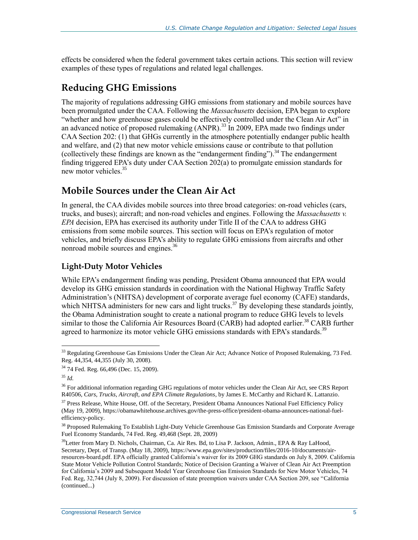effects be considered when the federal government takes certain actions. This section will review examples of these types of regulations and related legal challenges.

### <span id="page-7-1"></span>**Reducing GHG Emissions**

The majority of regulations addressing GHG emissions from stationary and mobile sources have been promulgated under the CAA. Following the *Massachusetts* decision, EPA began to explore "whether and how greenhouse gases could be effectively controlled under the Clean Air Act" in an advanced notice of proposed rulemaking (ANPR).<sup>33</sup> In 2009, EPA made two findings under CAA Section 202: (1) that GHGs currently in the atmosphere potentially endanger public health and welfare, and (2) that new motor vehicle emissions cause or contribute to that pollution (collectively these findings are known as the "endangerment finding").<sup>34</sup> The endangerment finding triggered EPA's duty under CAA Section 202(a) to promulgate emission standards for new motor vehicles. 35

### <span id="page-7-0"></span>**Mobile Sources under the Clean Air Act**

In general, the CAA divides mobile sources into three broad categories: on-road vehicles (cars, trucks, and buses); aircraft; and non-road vehicles and engines. Following the *Massachusetts v. EPA* decision, EPA has exercised its authority under Title II of the CAA to address GHG emissions from some mobile sources. This section will focus on EPA's regulation of motor vehicles, and briefly discuss EPA's ability to regulate GHG emissions from aircrafts and other nonroad mobile sources and engines.<sup>36</sup>

#### <span id="page-7-2"></span>**Light-Duty Motor Vehicles**

While EPA's endangerment finding was pending, President Obama announced that EPA would develop its GHG emission standards in coordination with the National Highway Traffic Safety Administration's (NHTSA) development of corporate average fuel economy (CAFE) standards, which NHTSA administers for new cars and light trucks.<sup>37</sup> By developing these standards jointly, the Obama Administration sought to create a national program to reduce GHG levels to levels similar to those the California Air Resources Board (CARB) had adopted earlier.<sup>38</sup> CARB further agreed to harmonize its motor vehicle GHG emissions standards with EPA's standards.<sup>39</sup>

 $33$  Regulating Greenhouse Gas Emissions Under the Clean Air Act; Advance Notice of Proposed Rulemaking, 73 Fed. Reg. 44,354, 44,355 (July 30, 2008).

<sup>34</sup> 74 Fed. Reg. 66,496 (Dec. 15, 2009).

<sup>35</sup> *Id.*

<sup>&</sup>lt;sup>36</sup> For additional information regarding GHG regulations of motor vehicles under the Clean Air Act, see CRS Report R40506, *Cars, Trucks, Aircraft, and EPA Climate Regulations*, by James E. McCarthy and Richard K. Lattanzio.

<sup>&</sup>lt;sup>37</sup> Press Release, White House, Off. of the Secretary, President Obama Announces National Fuel Efficiency Policy (May 19, 2009), https://obamawhitehouse.archives.gov/the-press-office/president-obama-announces-national-fuelefficiency-policy.

<sup>&</sup>lt;sup>38</sup> Proposed Rulemaking To Establish Light-Duty Vehicle Greenhouse Gas Emission Standards and Corporate Average Fuel Economy Standards, 74 Fed. Reg. 49,468 (Sept. 28, 2009)

<sup>&</sup>lt;sup>39</sup>Letter from Mary D. Nichols, Chairman, Ca. Air Res. Bd, to Lisa P. Jackson, Admin., EPA & Ray LaHood, Secretary, Dept. of Transp. (May 18, 2009), https://www.epa.gov/sites/production/files/2016-10/documents/airresources-board.pdf. EPA officially granted California's waiver for its 2009 GHG standards on July 8, 2009. California State Motor Vehicle Pollution Control Standards; Notice of Decision Granting a Waiver of Clean Air Act Preemption for California's 2009 and Subsequent Model Year Greenhouse Gas Emission Standards for New Motor Vehicles, 74 Fed. Reg, 32,744 (July 8, 2009). For discussion of state preemption waivers under CAA Section 209, see ["California](#page-10-0)  (continued...)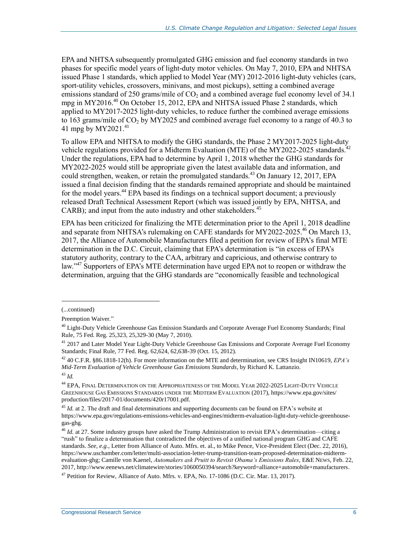EPA and NHTSA subsequently promulgated GHG emission and fuel economy standards in two phases for specific model years of light-duty motor vehicles. On May 7, 2010, EPA and NHTSA issued Phase 1 standards, which applied to Model Year (MY) 2012-2016 light-duty vehicles (cars, sport-utility vehicles, crossovers, minivans, and most pickups), setting a combined average emissions standard of 250 grams/mile of  $CO<sub>2</sub>$  and a combined average fuel economy level of 34.1 mpg in MY2016.<sup>40</sup> On October 15, 2012, EPA and NHTSA issued Phase 2 standards, which applied to MY2017-2025 light-duty vehicles, to reduce further the combined average emissions to 163 grams/mile of  $CO<sub>2</sub>$  by MY2025 and combined average fuel economy to a range of 40.3 to 41 mpg by MY2021. 41

To allow EPA and NHTSA to modify the GHG standards, the Phase 2 MY2017-2025 light-duty vehicle regulations provided for a Midterm Evaluation (MTE) of the MY2022-2025 standards.<sup>42</sup> Under the regulations, EPA had to determine by April 1, 2018 whether the GHG standards for MY2022-2025 would still be appropriate given the latest available data and information, and could strengthen, weaken, or retain the promulgated standards.<sup>43</sup> On January 12, 2017, EPA issued a final decision finding that the standards remained appropriate and should be maintained for the model years.<sup>44</sup> EPA based its findings on a technical support document; a previously released Draft Technical Assessment Report (which was issued jointly by EPA, NHTSA, and CARB); and input from the auto industry and other stakeholders.<sup>45</sup>

EPA has been criticized for finalizing the MTE determination prior to the April 1, 2018 deadline and separate from NHTSA's rulemaking on CAFE standards for MY2022-2025. <sup>46</sup> On March 13, 2017, the Alliance of Automobile Manufacturers filed a petition for review of EPA's final MTE determination in the D.C. Circuit, claiming that EPA's determination is "in excess of EPA's statutory authority, contrary to the CAA, arbitrary and capricious, and otherwise contrary to law."<sup>47</sup> Supporters of EPA's MTE determination have urged EPA not to reopen or withdraw the determination, arguing that the GHG standards are "economically feasible and technological

<sup>(...</sup>continued)

[Preemption Waiver.](#page-10-0)"

<sup>&</sup>lt;sup>40</sup> Light-Duty Vehicle Greenhouse Gas Emission Standards and Corporate Average Fuel Economy Standards; Final Rule, 75 Fed. Reg. 25,323, 25,329-30 (May 7, 2010).

<sup>&</sup>lt;sup>41</sup> 2017 and Later Model Year Light-Duty Vehicle Greenhouse Gas Emissions and Corporate Average Fuel Economy Standards; Final Rule, 77 Fed. Reg. 62,624, 62,638-39 (Oct. 15, 2012).

<sup>42</sup> 40 C.F.R. §86.1818-12(h). For more information on the MTE and determination, see CRS Insight IN10619, *EPA's Mid-Term Evaluation of Vehicle Greenhouse Gas Emissions Standards*, by Richard K. Lattanzio. <sup>43</sup> *Id.*

<sup>44</sup> EPA, FINAL DETERMINATION ON THE APPROPRIATENESS OF THE MODEL YEAR 2022-2025 LIGHT-DUTY VEHICLE GREENHOUSE GAS EMISSIONS STANDARDS UNDER THE MIDTERM EVALUATION (2017), https://www.epa.gov/sites/ production/files/2017-01/documents/420r17001.pdf.

<sup>&</sup>lt;sup>45</sup> *Id.* at 2. The draft and final determinations and supporting documents can be found on EPA's website at https://www.epa.gov/regulations-emissions-vehicles-and-engines/midterm-evaluation-light-duty-vehicle-greenhousegas-ghg.

<sup>&</sup>lt;sup>46</sup> *Id.* at 27. Some industry groups have asked the Trump Administration to revisit EPA's determination—citing a "rush" to finalize a determination that contradicted the objectives of a unified national program GHG and CAFE standards. *See, e.g.*, Letter from Alliance of Auto. Mfrs. et. al., to Mike Pence, Vice-President Elect (Dec. 22, 2016), https://www.uschamber.com/letter/multi-association-letter-trump-transition-team-proposed-determination-midtermevaluation-ghg; Camille von Kaenel, *Automakers ask Pruitt to Revisit Obama's Emissions Rules*, E&E NEWS, Feb. 22, 2017, http://www.eenews.net/climatewire/stories/1060050394/search?keyword=alliance+automobile+manufacturers.

 $47$  Petition for Review, Alliance of Auto. Mfrs. v. EPA, No. 17-1086 (D.C. Cir. Mar. 13, 2017).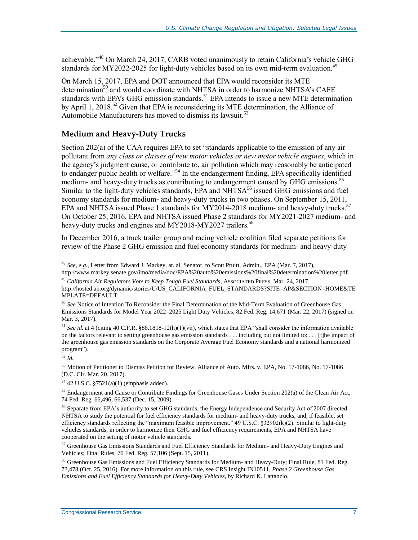achievable."<sup>48</sup> On March 24, 2017, CARB voted unanimously to retain California's vehicle GHG standards for MY2022-2025 for light-duty vehicles based on its own mid-term evaluation.<sup>49</sup>

On March 15, 2017, EPA and DOT announced that EPA would reconsider its MTE determination<sup>50</sup> and would coordinate with NHTSA in order to harmonize NHTSA's CAFE standards with EPA's GHG emission standards.<sup>51</sup> EPA intends to issue a new MTE determination by April 1, 2018.<sup>52</sup> Given that EPA is reconsidering its MTE determination, the Alliance of Automobile Manufacturers has moved to dismiss its lawsuit.<sup>53</sup>

#### **Medium and Heavy-Duty Trucks**

Section 202(a) of the CAA requires EPA to set "standards applicable to the emission of any air pollutant from *any class or classes of new motor vehicles or new motor vehicle engines*, which in the agency's judgment cause, or contribute to, air pollution which may reasonably be anticipated to endanger public health or welfare."<sup>54</sup> In the endangerment finding, EPA specifically identified medium- and heavy-duty trucks as contributing to endangerment caused by GHG emissions.<sup>55</sup> Similar to the light-duty vehicles standards, EPA and NHTS $A^{56}$  issued GHG emissions and fuel economy standards for medium- and heavy-duty trucks in two phases. On September 15, 2011, EPA and NHTSA issued Phase 1 standards for MY2014-2018 medium- and heavy-duty trucks.<sup>57</sup> On October 25, 2016, EPA and NHTSA issued Phase 2 standards for MY2021-2027 medium- and heavy-duty trucks and engines and MY2018-MY2027 trailers.<sup>58</sup>

In December 2016, a truck trailer group and racing vehicle coalition filed separate petitions for review of the Phase 2 GHG emission and fuel economy standards for medium- and heavy-duty

<sup>52</sup> *Id.*

 $\overline{a}$ 

<sup>53</sup> Motion of Petitioner to Dismiss Petition for Review, Alliance of Auto. Mfrs. v. EPA, No. 17-1086, No. 17-1086 (D.C. Cir. Mar. 20, 2017).

<sup>48</sup> *See, e.g.*, Letter from Edward J. Markey, at. al, Senator, to Scott Pruitt, Admin., EPA (Mar. 7, 2017),

http://www.markey.senate.gov/imo/media/doc/EPA%20auto%20emissions%20final%20determination%20letter.pdf. <sup>49</sup> *California Air Regulators Vote to Keep Tough Fuel Standards*, ASSOCIATED PRESS, Mar. 24, 2017,

http://hosted.ap.org/dynamic/stories/U/US\_CALIFORNIA\_FUEL\_STANDARDS?SITE=AP&SECTION=HOME&TE MPLATE=DEFAULT.

<sup>50</sup> *See* Notice of Intention To Reconsider the Final Determination of the Mid-Term Evaluation of Greenhouse Gas Emissions Standards for Model Year 2022–2025 Light Duty Vehicles, 82 Fed. Reg. 14,671 (Mar. 22, 2017) (signed on Mar. 3, 2017).

<sup>51</sup> *See id.* at 4 (citing 40 C.F.R. §86.1818-12(h)(1)(vii), which states that EPA "shall consider the information available on the factors relevant to setting greenhouse gas emission standards . . . including but not limited to: . . . [t]he impact of the greenhouse gas emission standards on the Corporate Average Fuel Economy standards and a national harmonized program").

<sup>54</sup> 42 U.S.C. §7521(a)(1) (emphasis added).

<sup>&</sup>lt;sup>55</sup> Endangerment and Cause or Contribute Findings for Greenhouse Gases Under Section 202(a) of the Clean Air Act, 74 Fed. Reg*.* 66,496, 66,537 (Dec. 15, 2009).

<sup>&</sup>lt;sup>56</sup> Separate from EPA's authority to set GHG standards, the Energy Independence and Security Act of 2007 directed NHTSA to study the potential for fuel efficiency standards for medium- and heavy-duty trucks, and, if feasible, set efficiency standards reflecting the "maximum feasible improvement." 49 U.S.C. §32902(k)(2). Similar to light-duty vehicles standards, in order to harmonize their GHG and fuel efficiency requirements, EPA and NHTSA have cooperated on the setting of motor vehicle standards.

<sup>&</sup>lt;sup>57</sup> Greenhouse Gas Emissions Standards and Fuel Efficiency Standards for Medium- and Heavy-Duty Engines and Vehicles; Final Rules, 76 Fed. Reg. 57,106 (Sept. 15, 2011).

<sup>&</sup>lt;sup>58</sup> Greenhouse Gas Emissions and Fuel Efficiency Standards for Medium- and Heavy-Duty; Final Rule, 81 Fed. Reg. 73,478 (Oct. 25, 2016). For more information on this rule, see CRS Insight IN10511, *Phase 2 Greenhouse Gas Emissions and Fuel Efficiency Standards for Heavy-Duty Vehicles*, by Richard K. Lattanzio.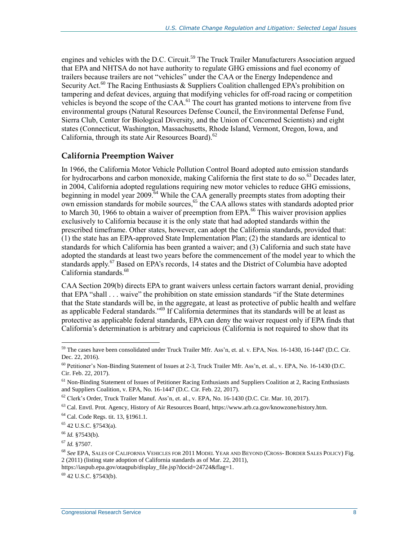engines and vehicles with the D.C. Circuit.<sup>59</sup> The Truck Trailer Manufacturers Association argued that EPA and NHTSA do not have authority to regulate GHG emissions and fuel economy of trailers because trailers are not "vehicles" under the CAA or the Energy Independence and Security Act.<sup>60</sup> The Racing Enthusiasts & Suppliers Coalition challenged EPA's prohibition on tampering and defeat devices, arguing that modifying vehicles for off-road racing or competition vehicles is beyond the scope of the CAA. <sup>61</sup> The court has granted motions to intervene from five environmental groups (Natural Resources Defense Council, the Environmental Defense Fund, Sierra Club, Center for Biological Diversity, and the Union of Concerned Scientists) and eight states (Connecticut, Washington, Massachusetts, Rhode Island, Vermont, Oregon, Iowa, and California, through its state Air Resources Board).<sup>62</sup>

#### <span id="page-10-0"></span>**California Preemption Waiver**

In 1966, the California Motor Vehicle Pollution Control Board adopted auto emission standards for hydrocarbons and carbon monoxide, making California the first state to do so.<sup>63</sup> Decades later, in 2004, California adopted regulations requiring new motor vehicles to reduce GHG emissions, beginning in model year 2009.<sup>64</sup> While the CAA generally preempts states from adopting their own emission standards for mobile sources, <sup>65</sup> the CAA allows states with standards adopted prior to March 30, 1966 to obtain a waiver of preemption from EPA.<sup>66</sup> This waiver provision applies exclusively to California because it is the only state that had adopted standards within the prescribed timeframe. Other states, however, can adopt the California standards, provided that: (1) the state has an EPA-approved State Implementation Plan; (2) the standards are identical to standards for which California has been granted a waiver; and (3) California and such state have adopted the standards at least two years before the commencement of the model year to which the standards apply.<sup>67</sup> Based on EPA's records, 14 states and the District of Columbia have adopted California standards.<sup>68</sup>

CAA Section 209(b) directs EPA to grant waivers unless certain factors warrant denial, providing that EPA "shall . . . waive" the prohibition on state emission standards "if the State determines that the State standards will be, in the aggregate, at least as protective of public health and welfare as applicable Federal standards."<sup>69</sup> If California determines that its standards will be at least as protective as applicable federal standards, EPA can deny the waiver request only if EPA finds that California's determination is arbitrary and capricious (California is not required to show that its

 $\overline{a}$ 

 $^{69}$  42 U.S.C.  $$7543(b)$ .

 $59$  The cases have been consolidated under Truck Trailer Mfr. Ass'n, et. al. v. EPA, Nos. 16-1430, 16-1447 (D.C. Cir. Dec. 22, 2016).

 $60$  Petitioner's Non-Binding Statement of Issues at 2-3, Truck Trailer Mfr. Ass'n, et. al., v. EPA, No. 16-1430 (D.C. Cir. Feb. 22, 2017).

 $<sup>61</sup>$  Non-Binding Statement of Issues of Petitioner Racing Enthusiasts and Suppliers Coalition at 2, Racing Enthusiasts</sup> and Suppliers Coalition, v. EPA, No. 16-1447 (D.C. Cir. Feb. 22, 2017).

<sup>62</sup> Clerk's Order, Truck Trailer Manuf. Ass'n, et. al., v. EPA, No. 16-1430 (D.C. Cir. Mar. 10, 2017).

 $63$  Cal. Envtl. Prot. Agency, History of Air Resources Board, https://www.arb.ca.gov/knowzone/history.htm.

<sup>64</sup> Cal. Code Regs. tit. 13, §1961.1.

<sup>65</sup> 42 U.S.C. §7543(a).

<sup>66</sup> *Id.* §7543(b).

<sup>67</sup> *Id.* §7507.

<sup>68</sup> *See* EPA, SALES OF CALIFORNIA VEHICLES FOR 2011 MODEL YEAR AND BEYOND (CROSS- BORDER SALES POLICY) Fig. 2 (2011) (listing state adoption of California standards as of Mar. 22, 2011),

https://iaspub.epa.gov/otaqpub/display\_file.jsp?docid=24724&flag=1.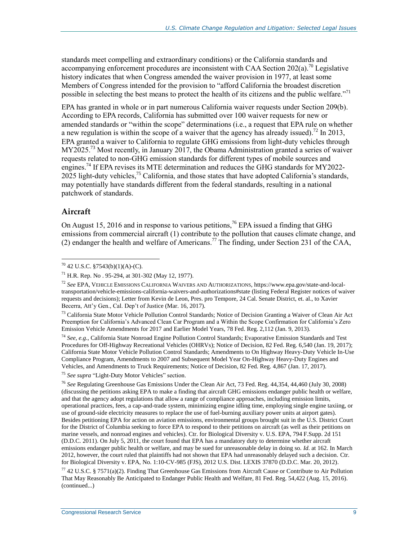standards meet compelling and extraordinary conditions) or the California standards and accompanying enforcement procedures are inconsistent with CAA Section  $202(a)$ <sup>70</sup> Legislative history indicates that when Congress amended the waiver provision in 1977, at least some Members of Congress intended for the provision to "afford California the broadest discretion possible in selecting the best means to protect the health of its citizens and the public welfare.<sup>"71</sup>

EPA has granted in whole or in part numerous California waiver requests under Section 209(b). According to EPA records, California has submitted over 100 waiver requests for new or amended standards or "within the scope" determinations (i.e., a request that EPA rule on whether a new regulation is within the scope of a waiver that the agency has already issued).<sup>72</sup> In 2013, EPA granted a waiver to California to regulate GHG emissions from light-duty vehicles through MY2025.<sup>73</sup> Most recently, in January 2017, the Obama Administration granted a series of waiver requests related to non-GHG emission standards for different types of mobile sources and engines.<sup>74</sup> If EPA revises its MTE determination and reduces the GHG standards for MY2022- $2025$  light-duty vehicles,<sup>75</sup> California, and those states that have adopted California's standards, may potentially have standards different from the federal standards, resulting in a national patchwork of standards.

#### **Aircraft**

 $\overline{a}$ 

On August 15, 2016 and in response to various petitions,<sup>76</sup> EPA issued a finding that GHG emissions from commercial aircraft (1) contribute to the pollution that causes climate change, and (2) endanger the health and welfare of Americans.<sup>77</sup> The finding, under Section 231 of the CAA,

<sup>73</sup> California State Motor Vehicle Pollution Control Standards; Notice of Decision Granting a Waiver of Clean Air Act Preemption for California's Advanced Clean Car Program and a Within the Scope Confirmation for California's Zero Emission Vehicle Amendments for 2017 and Earlier Model Years, 78 Fed. Reg. 2,112 (Jan. 9, 2013).

<sup>74</sup> *See, e.g.*, California State Nonroad Engine Pollution Control Standards; Evaporative Emission Standards and Test Procedures for Off-Highway Recreational Vehicles (OHRVs); Notice of Decision, 82 Fed. Reg. 6,540 (Jan. 19, 2017); California State Motor Vehicle Pollution Control Standards; Amendments to On Highway Heavy-Duty Vehicle In-Use Compliance Program, Amendments to 2007 and Subsequent Model Year On-Highway Heavy-Duty Engines and Vehicles, and Amendments to Truck Requirements; Notice of Decision, 82 Fed. Reg. 4,867 (Jan. 17, 2017).

<sup>75</sup> *See supra* ["Light-Duty Motor Vehicles"](#page-7-2) section.

<sup>76</sup> *See* Regulating Greenhouse Gas Emissions Under the Clean Air Act, 73 Fed. Reg. 44,354, 44,460 (July 30, 2008) (discussing the petitions asking EPA to make a finding that aircraft GHG emissions endanger public health or welfare, and that the agency adopt regulations that allow a range of compliance approaches, including emission limits, operational practices, fees, a cap-and-trade system, minimizing engine idling time, employing single engine taxiing, or use of ground-side electricity measures to replace the use of fuel-burning auxiliary power units at airport gates). Besides petitioning EPA for action on aviation emissions, environmental groups brought suit in the U.S. District Court for the District of Columbia seeking to force EPA to respond to their petitions on aircraft (as well as their petitions on marine vessels, and nonroad engines and vehicles). Ctr. for Biological Diversity v. U.S. EPA, 794 F.Supp. 2d 151 (D.D.C. 2011). On July 5, 2011, the court found that EPA has a mandatory duty to determine whether aircraft emissions endanger public health or welfare, and may be sued for unreasonable delay in doing so. *Id.* at 162. In March 2012, however, the court ruled that plaintiffs had not shown that EPA had unreasonably delayed such a decision. Ctr. for Biological Diversity v. EPA, No. 1:10-CV-985 (FJS), 2012 U.S. Dist. LEXIS 37870 (D.D.C. Mar. 20, 2012).

<sup>77</sup> 42 U.S.C. § 7571(a)(2). Finding That Greenhouse Gas Emissions from Aircraft Cause or Contribute to Air Pollution That May Reasonably Be Anticipated to Endanger Public Health and Welfare, 81 Fed. Reg. 54,422 (Aug. 15, 2016). (continued...)

 $70$  42 U.S.C. §7543(b)(1)(A)-(C).

<sup>71</sup> H.R. Rep. No . 95-294, at 301-302 (May 12, 1977).

<sup>72</sup> *See* EPA, VEHICLE EMISSIONS CALIFORNIA WAIVERS AND AUTHORIZATIONS, https://www.epa.gov/state-and-localtransportation/vehicle-emissions-california-waivers-and-authorizations#state (listing Federal Register notices of waiver requests and decisions); Letter from Kevin de Leon, Pres. pro Tempore, 24 Cal. Senate District, et. al., to Xavier Becerra, Att'y Gen., Cal. Dep't of Justice (Mar. 16, 2017).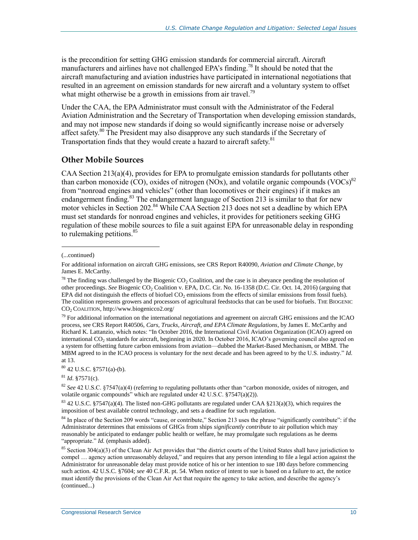is the precondition for setting GHG emission standards for commercial aircraft. Aircraft manufacturers and airlines have not challenged EPA's finding.<sup>78</sup> It should be noted that the aircraft manufacturing and aviation industries have participated in international negotiations that resulted in an agreement on emission standards for new aircraft and a voluntary system to offset what might otherwise be a growth in emissions from air travel.<sup>79</sup>

Under the CAA, the EPA Administrator must consult with the Administrator of the Federal Aviation Administration and the Secretary of Transportation when developing emission standards, and may not impose new standards if doing so would significantly increase noise or adversely affect safety.<sup>80</sup> The President may also disapprove any such standards if the Secretary of Transportation finds that they would create a hazard to aircraft safety.<sup>81</sup>

#### **Other Mobile Sources**

CAA Section 213(a)(4), provides for EPA to promulgate emission standards for pollutants other than carbon monoxide (CO), oxides of nitrogen (NOx), and volatile organic compounds (VOCs) $^{82}$ from "nonroad engines and vehicles" (other than locomotives or their engines) if it makes an endangerment finding.<sup>83</sup> The endangerment language of Section 213 is similar to that for new motor vehicles in Section 202.<sup>84</sup> While CAA Section 213 does not set a deadline by which EPA must set standards for nonroad engines and vehicles, it provides for petitioners seeking GHG regulation of these mobile sources to file a suit against EPA for unreasonable delay in responding to rulemaking petitions.<sup>85</sup>

 $\overline{a}$ 

 $79$  For additional information on the international negotiations and agreement on aircraft GHG emissions and the ICAO process, see CRS Report R40506, *Cars, Trucks, Aircraft, and EPA Climate Regulations*, by James E. McCarthy and Richard K. Lattanzio, which notes: "In October 2016, the International Civil Aviation Organization (ICAO) agreed on international CO<sub>2</sub> standards for aircraft, beginning in 2020. In October 2016, ICAO's governing council also agreed on a system for offsetting future carbon emissions from aviation—dubbed the Market-Based Mechanism, or MBM. The MBM agreed to in the ICAO process is voluntary for the next decade and has been agreed to by the U.S. industry." *Id.* at 13.

<sup>80</sup> 42 U.S.C. §7571(a)-(b).

 $^{81}$  *Id.*  $$7571(c)$ .

<sup>82</sup> *See* 42 U.S.C. §7547(a)(4) (referring to regulating pollutants other than "carbon monoxide, oxides of nitrogen, and volatile organic compounds" which are regulated under 42 U.S.C. §7547(a)(2)).

 $83$  42 U.S.C. §7547(a)(4). The listed non-GHG pollutants are regulated under CAA §213(a)(3), which requires the imposition of best available control technology, and sets a deadline for such regulation.

<sup>84</sup> In place of the Section 209 words "cause, or contribute," Section 213 uses the phrase "significantly contribute": if the Administrator determines that emissions of GHGs from ships *significantly contribute* to air pollution which may reasonably be anticipated to endanger public health or welfare, he may promulgate such regulations as he deems "appropriate." *Id.* (emphasis added).

<sup>(...</sup>continued)

For additional information on aircraft GHG emissions, see CRS Report R40090, *Aviation and Climate Change*, by James E. McCarthy.

 $^{78}$  The finding was challenged by the Biogenic CO<sub>2</sub> Coalition, and the case is in abeyance pending the resolution of other proceedings. See Biogenic CO<sub>2</sub> Coalition v. EPA, D.C. Cir. No. 16-1358 (D.C. Cir. Oct. 14, 2016) (arguing that EPA did not distinguish the effects of biofuel  $CO<sub>2</sub>$  emissions from the effects of similar emissions from fossil fuels). The coalition represents growers and processors of agricultural feedstocks that can be used for biofuels. THE BIOGENIC CO<sup>2</sup> COALITION, http://www.biogenicco2.org/

<sup>&</sup>lt;sup>85</sup> Section 304(a)(3) of the Clean Air Act provides that "the district courts of the United States shall have jurisdiction to compel … agency action unreasonably delayed," and requires that any person intending to file a legal action against the Administrator for unreasonable delay must provide notice of his or her intention to sue 180 days before commencing such action. 42 U.S.C. §7604; *see* 40 C.F.R. pt. 54. When notice of intent to sue is based on a failure to act, the notice must identify the provisions of the Clean Air Act that require the agency to take action, and describe the agency's (continued...)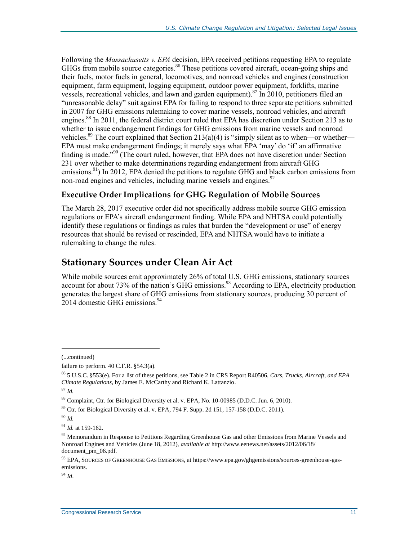Following the *Massachusetts v. EPA* decision, EPA received petitions requesting EPA to regulate GHGs from mobile source categories.<sup>86</sup> These petitions covered aircraft, ocean-going ships and their fuels, motor fuels in general, locomotives, and nonroad vehicles and engines (construction equipment, farm equipment, logging equipment, outdoor power equipment, forklifts, marine vessels, recreational vehicles, and lawn and garden equipment). <sup>87</sup> In 2010, petitioners filed an "unreasonable delay" suit against EPA for failing to respond to three separate petitions submitted in 2007 for GHG emissions rulemaking to cover marine vessels, nonroad vehicles, and aircraft engines.<sup>88</sup> In 2011, the federal district court ruled that EPA has discretion under Section 213 as to whether to issue endangerment findings for GHG emissions from marine vessels and nonroad vehicles.<sup>89</sup> The court explained that Section 213(a)(4) is "simply silent as to when—or whether— EPA must make endangerment findings; it merely says what EPA 'may' do 'if' an affirmative finding is made."<sup>90</sup> (The court ruled, however, that EPA does not have discretion under Section 231 over whether to make determinations regarding endangerment from aircraft GHG emissions.<sup>91</sup>) In 2012, EPA denied the petitions to regulate GHG and black carbon emissions from non-road engines and vehicles, including marine vessels and engines.<sup>92</sup>

#### **Executive Order Implications for GHG Regulation of Mobile Sources**

The March 28, 2017 executive order did not specifically address mobile source GHG emission regulations or EPA's aircraft endangerment finding. While EPA and NHTSA could potentially identify these regulations or findings as rules that burden the "development or use" of energy resources that should be revised or rescinded, EPA and NHTSA would have to initiate a rulemaking to change the rules.

### <span id="page-13-0"></span>**Stationary Sources under Clean Air Act**

While mobile sources emit approximately 26% of total U.S. GHG emissions, stationary sources account for about 73% of the nation's GHG emissions.<sup>93</sup> According to EPA, electricity production generates the largest share of GHG emissions from stationary sources, producing 30 percent of 2014 domestic GHG emissions.<sup>94</sup>

(...continued)

 $\overline{a}$ 

<sup>94</sup> *Id*.

failure to perform. 40 C.F.R. §54.3(a).

<sup>86</sup> 5 U.S.C. §553(e). For a list of these petitions, see Table 2 in CRS Report R40506, *Cars, Trucks, Aircraft, and EPA Climate Regulations*, by James E. McCarthy and Richard K. Lattanzio.

<sup>87</sup> *Id.*

<sup>88</sup> Complaint, Ctr. for Biological Diversity et al. v. EPA, No. 10-00985 (D.D.C. Jun. 6, 2010).

 $89$  Ctr. for Biological Diversity et al. v. EPA, 794 F. Supp. 2d 151, 157-158 (D.D.C. 2011).

<sup>90</sup> *Id.*

<sup>91</sup> *Id.* at 159-162.

 $92$  Memorandum in Response to Petitions Regarding Greenhouse Gas and other Emissions from Marine Vessels and Nonroad Engines and Vehicles (June 18, 2012), *available at* http://www.eenews.net/assets/2012/06/18/ document\_pm\_06.pdf.

<sup>93</sup> EPA, SOURCES OF GREENHOUSE GAS EMISSIONS, at https://www.epa.gov/ghgemissions/sources-greenhouse-gasemissions.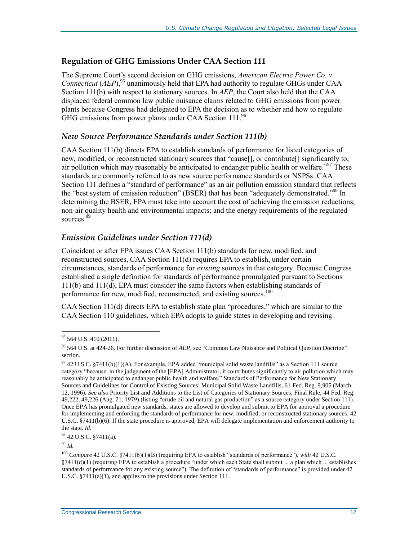#### **Regulation of GHG Emissions Under CAA Section 111**

The Supreme Court's second decision on GHG emissions, *American Electric Power Co. v. Connecticut* (*AEP*), <sup>95</sup> unanimously held that EPA had authority to regulate GHGs under CAA Section 111(b) with respect to stationary sources. In *AEP*, the Court also held that the CAA displaced federal common law public nuisance claims related to GHG emissions from power plants because Congress had delegated to EPA the decision as to whether and how to regulate GHG emissions from power plants under CAA Section 111.96

#### *New Source Performance Standards under Section 111(b)*

CAA Section 111(b) directs EPA to establish standards of performance for listed categories of new, modified, or reconstructed stationary sources that "cause[], or contribute[] significantly to, air pollution which may reasonably be anticipated to endanger public health or welfare.<sup> $297$ </sup> These standards are commonly referred to as new source performance standards or NSPSs. CAA Section 111 defines a "standard of performance" as an air pollution emission standard that reflects the "best system of emission reduction" (BSER) that has been "adequately demonstrated."<sup>98</sup> In determining the BSER, EPA must take into account the cost of achieving the emission reductions; non-air quality health and environmental impacts; and the energy requirements of the regulated sources.<sup>99</sup>

#### *Emission Guidelines under Section 111(d)*

Coincident or after EPA issues CAA Section 111(b) standards for new, modified, and reconstructed sources, CAA Section 111(d) requires EPA to establish, under certain circumstances, standards of performance for *existing* sources in that category. Because Congress established a single definition for standards of performance promulgated pursuant to Sections 111(b) and 111(d), EPA must consider the same factors when establishing standards of performance for new, modified, reconstructed, and existing sources.<sup>100</sup>

CAA Section 111(d) directs EPA to establish state plan "procedures," which are similar to the CAA Section 110 guidelines, which EPA adopts to guide states in developing and revising

 $95$  564 U.S. 410 (2011).

<sup>96</sup> 564 U.S. at 424-26. For further discussion of *AEP*, see ["Common Law Nuisance and Political Question Doctrine"](#page-38-0) section.

 $97$  42 U.S.C. §7411(b)(1)(A). For example, EPA added "municipal solid waste landfills" as a Section 111 source category "because, in the judgement of the [EPA] Administrator, it contributes significantly to air pollution which may reasonably be anticipated to endanger public health and welfare." Standards of Performance for New Stationary Sources and Guidelines for Control of Existing Sources: Municipal Solid Waste Landfills, 61 Fed. Reg. 9,905 (March 12, 1996). *See also* Priority List and Additions to the List of Categories of Stationary Sources; Final Rule, 44 Fed. Reg. 49,222, 49,226 (Aug. 21, 1979) (listing "crude oil and natural gas production" as a source category under Section 111). Once EPA has promulgated new standards, states are allowed to develop and submit to EPA for approval a procedure for implementing and enforcing the standards of performance for new, modified, or reconstructed stationary sources. 42 U.S.C. §7411(b)(6). If the state procedure is approved, EPA will delegate implementation and enforcement authority to the state. *Id.*

<sup>98</sup> 42 U.S.C. §7411(a).

<sup>99</sup> *Id.*

<sup>&</sup>lt;sup>100</sup> *Compare* 42 U.S.C. §7411(b)(1)(B) (requiring EPA to establish "standards of performance"), *with* 42 U.S.C. §7411(d)(1) (requiring EPA to establish a procedure "under which each State shall submit ... a plan which ... establishes standards of performance for any existing source"). The definition of "standards of performance" is provided under 42 U.S.C. §7411(a)(1), and applies to the provisions under Section 111.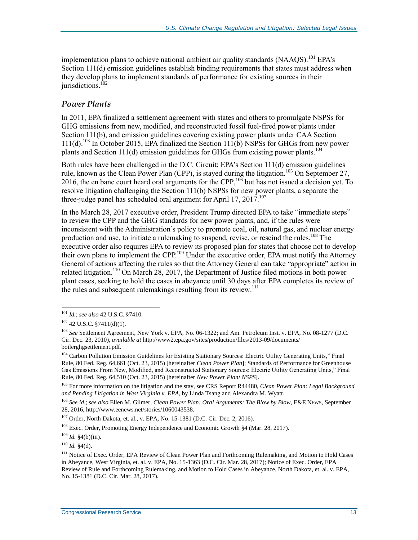implementation plans to achieve national ambient air quality standards  $(NAAQS)$ .<sup>101</sup> EPA's Section 111(d) emission guidelines establish binding requirements that states must address when they develop plans to implement standards of performance for existing sources in their iurisdictions. $102$ 

#### <span id="page-15-0"></span>*Power Plants*

In 2011, EPA finalized a settlement agreement with states and others to promulgate NSPSs for GHG emissions from new, modified, and reconstructed fossil fuel-fired power plants under Section 111(b), and emission guidelines covering existing power plants under CAA Section  $111(d)$ <sup>103</sup> In October 2015, EPA finalized the Section  $111(b)$  NSPSs for GHGs from new power plants and Section 111(d) emission guidelines for GHGs from existing power plants.<sup>104</sup>

<span id="page-15-1"></span>Both rules have been challenged in the D.C. Circuit; EPA's Section 111(d) emission guidelines rule, known as the Clean Power Plan (CPP), is stayed during the litigation.<sup>105</sup> On September 27, 2016, the en banc court heard oral arguments for the CPP,  $10\overline{6}$  but has not issued a decision yet. To resolve litigation challenging the Section 111(b) NSPSs for new power plants, a separate the three-judge panel has scheduled oral argument for April 17, 2017.<sup>107</sup>

In the March 28, 2017 executive order, President Trump directed EPA to take "immediate steps" to review the CPP and the GHG standards for new power plants, and, if the rules were inconsistent with the Administration's policy to promote coal, oil, natural gas, and nuclear energy production and use, to initiate a rulemaking to suspend, revise, or rescind the rules.<sup>108</sup> The executive order also requires EPA to review its proposed plan for states that choose not to develop their own plans to implement the CPP.<sup>109</sup> Under the executive order, EPA must notify the Attorney General of actions affecting the rules so that the Attorney General can take "appropriate" action in related litigation.<sup>110</sup> On March 28, 2017, the Department of Justice filed motions in both power plant cases, seeking to hold the cases in abeyance until 30 days after EPA completes its review of the rules and subsequent rulemakings resulting from its review.<sup>111</sup>

 $\overline{a}$ 

<sup>105</sup> For more information on the litigation and the stay, see CRS Report R44480, *Clean Power Plan: Legal Background and Pending Litigation in West Virginia v. EPA*, by Linda Tsang and Alexandra M. Wyatt.

<sup>106</sup> *See id*.; *see also* Ellen M. Gilmer, *Clean Power Plan: Oral Arguments: The Blow by Blow*, E&E NEWS, September 28, 2016, http://www.eenews.net/stories/1060043538.

<sup>107</sup> Order, North Dakota, et. al., v. EPA, No. 15-1381 (D.C. Cir. Dec. 2, 2016).

<sup>108</sup> Exec. Order, Promoting Energy Independence and Economic Growth §4 (Mar. 28, 2017).

 $110$  *Id.* §4(d).

<sup>101</sup> *Id.*; *see also* 42 U.S.C. §7410.

 $102$  42 U.S.C. §7411(d)(1).

<sup>103</sup> *See* Settlement Agreement, New York v. EPA, No. 06-1322; and Am. Petroleum Inst. v. EPA, No. 08-1277 (D.C. Cir. Dec. 23, 2010), *available at* http://www2.epa.gov/sites/production/files/2013-09/documents/ boilerghgsettlement.pdf.

<sup>&</sup>lt;sup>104</sup> Carbon Pollution Emission Guidelines for Existing Stationary Sources: Electric Utility Generating Units," Final Rule, 80 Fed. Reg. 64,661 (Oct. 23, 2015) [hereinafter *Clean Power Plan*]; Standards of Performance for Greenhouse Gas Emissions From New, Modified, and Reconstructed Stationary Sources: Electric Utility Generating Units," Final Rule, 80 Fed. Reg. 64,510 (Oct. 23, 2015) [hereinafter *New Power Plant NSPS*].

<sup>109</sup> *Id.* §4(b)(iii).

<sup>&</sup>lt;sup>111</sup> Notice of Exec. Order, EPA Review of Clean Power Plan and Forthcoming Rulemaking, and Motion to Hold Cases in Abeyance, West Virginia, et. al. v. EPA, No. 15-1363 (D.C. Cir. Mar. 28, 2017); Notice of Exec. Order, EPA Review of Rule and Forthcoming Rulemaking, and Motion to Hold Cases in Abeyance, North Dakota, et. al. v. EPA, No. 15-1381 (D.C. Cir. Mar. 28, 2017).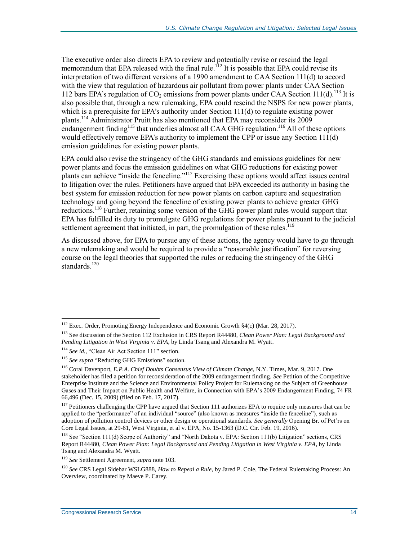The executive order also directs EPA to review and potentially revise or rescind the legal memorandum that EPA released with the final rule.<sup>112</sup> It is possible that EPA could revise its interpretation of two different versions of a 1990 amendment to CAA Section 111(d) to accord with the view that regulation of hazardous air pollutant from power plants under CAA Section 112 bars EPA's regulation of  $CO_2$  emissions from power plants under CAA Section 111(d).<sup>113</sup> It is also possible that, through a new rulemaking, EPA could rescind the NSPS for new power plants, which is a prerequisite for EPA's authority under Section 111(d) to regulate existing power plants.<sup>114</sup> Administrator Pruitt has also mentioned that EPA may reconsider its 2009 endangerment finding<sup>115</sup> that underlies almost all CAA GHG regulation.<sup>116</sup> All of these options would effectively remove EPA's authority to implement the CPP or issue any Section  $111(d)$ emission guidelines for existing power plants.

EPA could also revise the stringency of the GHG standards and emissions guidelines for new power plants and focus the emission guidelines on what GHG reductions for existing power plants can achieve "inside the fenceline."<sup>117</sup> Exercising these options would affect issues central to litigation over the rules. Petitioners have argued that EPA exceeded its authority in basing the best system for emission reduction for new power plants on carbon capture and sequestration technology and going beyond the fenceline of existing power plants to achieve greater GHG reductions.<sup>118</sup> Further, retaining some version of the GHG power plant rules would support that EPA has fulfilled its duty to promulgate GHG regulations for power plants pursuant to the judicial settlement agreement that initiated, in part, the promulgation of these rules. $^{119}$ 

As discussed above, for EPA to pursue any of these actions, the agency would have to go through a new rulemaking and would be required to provide a "reasonable justification" for reversing course on the legal theories that supported the rules or reducing the stringency of the GHG standards.<sup>120</sup>

<sup>&</sup>lt;sup>112</sup> Exec. Order, Promoting Energy Independence and Economic Growth §4(c) (Mar. 28, 2017).

<sup>113</sup> See discussion of the Section 112 Exclusion in CRS Report R44480, *Clean Power Plan: Legal Background and Pending Litigation in West Virginia v. EPA*, by Linda Tsang and Alexandra M. Wyatt.

<sup>114</sup> *See id.*, "Clean Air Act Section 111" section.

<sup>&</sup>lt;sup>115</sup> See supra ["Reducing GHG Emissions"](#page-7-1) section.

<sup>116</sup> Coral Davenport, *E.P.A. Chief Doubts Consensus View of Climate Change*, N.Y. Times, Mar. 9, 2017. One stakeholder has filed a petition for reconsideration of the 2009 endangerment finding. *See* Petition of the Competitive Enterprise Institute and the Science and Environmental Policy Project for Rulemaking on the Subject of Greenhouse Gases and Their Impact on Public Health and Welfare, in Connection with EPA's 2009 Endangerment Finding, 74 FR 66,496 (Dec. 15, 2009) (filed on Feb. 17, 2017).

<sup>&</sup>lt;sup>117</sup> Petitioners challenging the CPP have argued that Section 111 authorizes EPA to require only measures that can be applied to the "performance" of an individual "source" (also known as measures "inside the fenceline"), such as adoption of pollution control devices or other design or operational standards. *See generally* Opening Br. of Pet'rs on Core Legal Issues, at 29-61, West Virginia, et al v. EPA, No. 15-1363 (D.C. Cir. Feb. 19, 2016).

<sup>118</sup> See "Section 111(d) Scope of Authority" and "North Dakota v. EPA: Section 111(b) Litigation" sections, CRS Report R44480, *Clean Power Plan: Legal Background and Pending Litigation in West Virginia v. EPA*, by Linda Tsang and Alexandra M. Wyatt.

<sup>119</sup> *See* Settlement Agreement, *supra* not[e 103.](#page-15-1)

<sup>120</sup> *See* CRS Legal Sidebar WSLG888, *How to Repeal a Rule*, by Jared P. Cole, The Federal Rulemaking Process: An Overview, coordinated by Maeve P. Carey.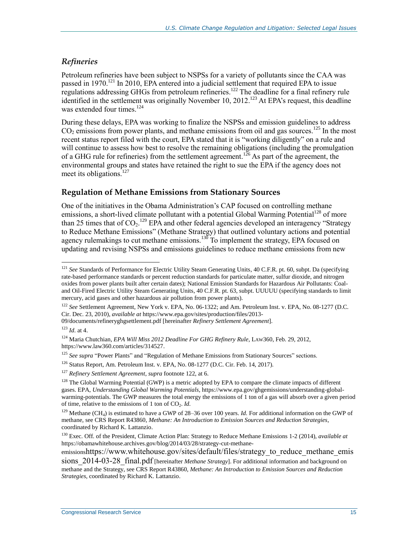#### *Refineries*

<span id="page-17-1"></span>Petroleum refineries have been subject to NSPSs for a variety of pollutants since the CAA was passed in 1970.<sup>121</sup> In 2010, EPA entered into a judicial settlement that required EPA to issue regulations addressing GHGs from petroleum refineries.<sup>122</sup> The deadline for a final refinery rule identified in the settlement was originally November 10, 2012.<sup>123</sup> At EPA's request, this deadline was extended four times.<sup>124</sup>

During these delays, EPA was working to finalize the NSPSs and emission guidelines to address  $CO<sub>2</sub>$  emissions from power plants, and methane emissions from oil and gas sources.<sup>125</sup> In the most recent status report filed with the court, EPA stated that it is "working diligently" on a rule and will continue to assess how best to resolve the remaining obligations (including the promulgation of a GHG rule for refineries) from the settlement agreement.<sup>126</sup> As part of the agreement, the environmental groups and states have retained the right to sue the EPA if the agency does not meet its obligations.<sup>127</sup>

#### <span id="page-17-0"></span>**Regulation of Methane Emissions from Stationary Sources**

One of the initiatives in the Obama Administration's CAP focused on controlling methane emissions, a short-lived climate pollutant with a potential Global Warming Potential<sup>128</sup> of more than 25 times that of  $CO_2$ .<sup>129</sup> EPA and other federal agencies developed an interagency "Strategy to Reduce Methane Emissions" (Methane Strategy) that outlined voluntary actions and potential agency rulemakings to cut methane emissions.<sup>130</sup> To implement the strategy, EPA focused on updating and revising NSPSs and emissions guidelines to reduce methane emissions from new

<span id="page-17-2"></span> $\overline{a}$ 

emissionshttps://www.whitehouse.gov/sites/default/files/strategy\_to\_reduce\_methane\_emis

<sup>&</sup>lt;sup>121</sup> See Standards of Performance for Electric Utility Steam Generating Units, 40 C.F.R. pt. 60, subpt. Da (specifying rate-based performance standards or percent reduction standards for particulate matter, sulfur dioxide, and nitrogen oxides from power plants built after certain dates); National Emission Standards for Hazardous Air Pollutants: Coaland Oil-Fired Electric Utility Steam Generating Units, 40 C.F.R. pt. 63, subpt. UUUUU (specifying standards to limit mercury, acid gases and other hazardous air pollution from power plants).

<sup>122</sup> *See* Settlement Agreement, New York v. EPA, No. 06-1322; and Am. Petroleum Inst. v. EPA, No. 08-1277 (D.C. Cir. Dec. 23, 2010), *available at* https://www.epa.gov/sites/production/files/2013-

<sup>09/</sup>documents/refineryghgsettlement.pdf [hereinafter *Refinery Settlement Agreement*].

<sup>123</sup> *Id*. at 4.

<sup>124</sup> Maria Chutchian, *EPA Will Miss 2012 Deadline For GHG Refinery Rule*, LAW360, Feb. 29, 2012, https://www.law360.com/articles/314527.

<sup>&</sup>lt;sup>125</sup> See supra ["Power Plants"](#page-15-0) and ["Regulation of Methane Emissions from Stationary Sources"](#page-17-0) sections.

<sup>126</sup> Status Report, Am. Petroleum Inst. v. EPA, No. 08-1277 (D.C. Cir. Feb. 14, 2017).

<sup>127</sup> *Refinery Settlement Agreement*, *supra* footnot[e 122,](#page-17-1) at 6.

<sup>&</sup>lt;sup>128</sup> The Global Warming Potential (GWP) is a metric adopted by EPA to compare the climate impacts of different gases. EPA, *Understanding Global Warming Potentials*, https://www.epa.gov/ghgemissions/understanding-globalwarming-potentials. The GWP measures the total energy the emissions of 1 ton of a gas will absorb over a given period of time, relative to the emissions of 1 ton of CO<sub>2</sub>. *Id.* 

 $^{129}$  Methane (CH<sub>4</sub>) is estimated to have a GWP of 28–36 over 100 years. *Id*. For additional information on the GWP of methane, see CRS Report R43860, *Methane: An Introduction to Emission Sources and Reduction Strategies*, coordinated by Richard K. Lattanzio.

<sup>130</sup> Exec. Off. of the President, Climate Action Plan: Strategy to Reduce Methane Emissions 1-2 (2014), *available at* https://obamawhitehouse.archives.gov/blog/2014/03/28/strategy-cut-methane-

sions 2014-03-28 final.pdf [hereinafter *Methane Strategy*]. For additional information and background on methane and the Strategy, see CRS Report R43860, *Methane: An Introduction to Emission Sources and Reduction Strategies*, coordinated by Richard K. Lattanzio.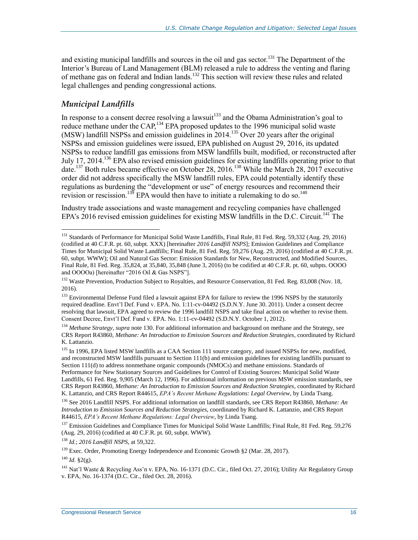and existing municipal landfills and sources in the oil and gas sector.<sup>131</sup> The Department of the Interior's Bureau of Land Management (BLM) released a rule to address the venting and flaring of methane gas on federal and Indian lands.<sup>132</sup> This section will review these rules and related legal challenges and pending congressional actions.

#### *Municipal Landfills*

 $\overline{a}$ 

In response to a consent decree resolving a lawsuit<sup>133</sup> and the Obama Administration's goal to reduce methane under the CAP,<sup>134</sup> EPA proposed updates to the 1996 municipal solid waste (MSW) landfill NSPSs and emission guidelines in 2014.<sup>135</sup> Over 20 years after the original NSPSs and emission guidelines were issued, EPA published on August 29, 2016, its updated NSPSs to reduce landfill gas emissions from MSW landfills built, modified, or reconstructed after July 17, 2014.<sup>136</sup> EPA also revised emission guidelines for existing landfills operating prior to that date.<sup>137</sup> Both rules became effective on October 28, 2016.<sup>138</sup> While the March 28, 2017 executive order did not address specifically the MSW landfill rules, EPA could potentially identify these regulations as burdening the "development or use" of energy resources and recommend their revision or rescission.<sup>139</sup> EPA would then have to initiate a rulemaking to do so.<sup>140</sup>

Industry trade associations and waste management and recycling companies have challenged EPA's 2016 revised emission guidelines for existing MSW landfills in the D.C. Circuit.<sup>141</sup> The

<sup>&</sup>lt;sup>131</sup> Standards of Performance for Municipal Solid Waste Landfills, Final Rule, 81 Fed. Reg. 59,332 (Aug. 29, 2016) (codified at 40 C.F.R. pt. 60, subpt. XXX) [hereinafter *2016 Landfill NSPS*]; Emission Guidelines and Compliance Times for Municipal Solid Waste Landfills; Final Rule, 81 Fed. Reg. 59,276 (Aug. 29, 2016) (codified at 40 C.F.R. pt. 60, subpt. WWW); Oil and Natural Gas Sector: Emission Standards for New, Reconstructed, and Modified Sources, Final Rule, 81 Fed. Reg. 35,824, at 35,840, 35,848 (June 3, 2016) (to be codified at 40 C.F.R. pt. 60, subpts. OOOO and OOOOa) [hereinafter "2016 Oil & Gas NSPS"].

<sup>&</sup>lt;sup>132</sup> Waste Prevention, Production Subject to Royalties, and Resource Conservation, 81 Fed. Reg. 83,008 (Nov. 18, 2016).

<sup>&</sup>lt;sup>133</sup> Environmental Defense Fund filed a lawsuit against EPA for failure to review the 1996 NSPS by the statutorily required deadline. Envt'l Def. Fund v. EPA. No. 1:11-cv-04492 (S.D.N.Y. June 30. 2011). Under a consent decree resolving that lawsuit, EPA agreed to review the 1996 landfill NSPS and take final action on whether to revise them. Consent Decree, Envt'l Def. Fund v. EPA. No. 1:11-cv-04492 (S.D.N.Y. October 1, 2012).

<sup>134</sup> *Methane Strategy*, *supra* note [130.](#page-17-2) For additional information and background on methane and the Strategy, see CRS Report R43860, *Methane: An Introduction to Emission Sources and Reduction Strategies*, coordinated by Richard K. Lattanzio.

<sup>&</sup>lt;sup>135</sup> In 1996, EPA listed MSW landfills as a CAA Section 111 source category, and issued NSPSs for new, modified, and reconstructed MSW landfills pursuant to Section 111(b) and emission guidelines for existing landfills pursuant to Section 111(d) to address nonmethane organic compounds (NMOCs) and methane emissions. Standards of Performance for New Stationary Sources and Guidelines for Control of Existing Sources: Municipal Solid Waste Landfills, 61 Fed. Reg. 9,905 (March 12, 1996). For additional information on previous MSW emission standards, see CRS Report R43860, *Methane: An Introduction to Emission Sources and Reduction Strategies*, coordinated by Richard K. Lattanzio, and CRS Report R44615, *EPA's Recent Methane Regulations: Legal Overview*, by Linda Tsang.

<sup>136</sup> See 2016 Landfill NSPS. For additional information on landfill standards, see CRS Report R43860, *Methane: An Introduction to Emission Sources and Reduction Strategies*, coordinated by Richard K. Lattanzio, and CRS Report R44615, *EPA's Recent Methane Regulations: Legal Overview*, by Linda Tsang.

<sup>&</sup>lt;sup>137</sup> Emission Guidelines and Compliance Times for Municipal Solid Waste Landfills; Final Rule, 81 Fed. Reg. 59,276 (Aug. 29, 2016) (codified at 40 C.F.R. pt. 60, subpt. WWW).

<sup>138</sup> *Id.*; *2016 Landfill NSPS*, at 59,322.

<sup>&</sup>lt;sup>139</sup> Exec. Order, Promoting Energy Independence and Economic Growth §2 (Mar. 28, 2017).

<sup>140</sup> *Id*. §2(g).

<sup>&</sup>lt;sup>141</sup> Nat'l Waste & Recycling Ass'n v. EPA, No. 16-1371 (D.C. Cir., filed Oct. 27, 2016); Utility Air Regulatory Group v. EPA, No. 16-1374 (D.C. Cir., filed Oct. 28, 2016).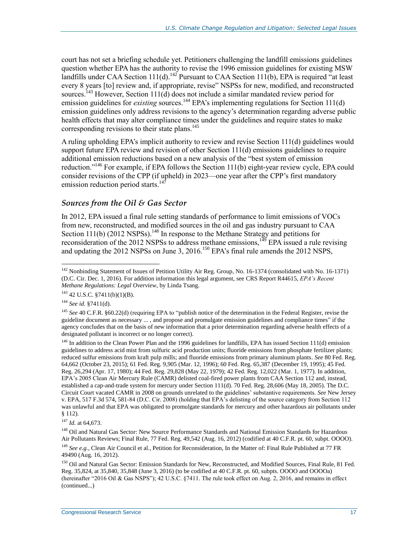court has not set a briefing schedule yet. Petitioners challenging the landfill emissions guidelines question whether EPA has the authority to revise the 1996 emission guidelines for existing MSW landfills under CAA Section 111(d).<sup>142</sup> Pursuant to CAA Section 111(b), EPA is required "at least every 8 years [to] review and, if appropriate, revise" NSPSs for new, modified, and reconstructed sources.<sup>143</sup> However, Section 111(d) does not include a similar mandated review period for emission guidelines for *existing* sources.<sup>144</sup> EPA's implementing regulations for Section 111(d) emission guidelines only address revisions to the agency's determination regarding adverse public health effects that may alter compliance times under the guidelines and require states to make corresponding revisions to their state plans.<sup>145</sup>

A ruling upholding EPA's implicit authority to review and revise Section 111(d) guidelines would support future EPA review and revision of other Section 111(d) emissions guidelines to require additional emission reductions based on a new analysis of the "best system of emission reduction."<sup>146</sup> For example, if EPA follows the Section 111(b) eight-year review cycle, EPA could consider revisions of the CPP (if upheld) in 2023—one year after the CPP's first mandatory emission reduction period starts.<sup>147</sup>

#### *Sources from the Oil & Gas Sector*

In 2012, EPA issued a final rule setting standards of performance to limit emissions of VOCs from new, reconstructed, and modified sources in the oil and gas industry pursuant to CAA Section  $111(b)$  (2012 NSPSs).<sup>148</sup> In response to the Methane Strategy and petitions for reconsideration of the 2012 NSPSs to address methane emissions,  $149$  EPA issued a rule revising and updating the 2012 NSPSs on June 3, 2016.<sup>150</sup> EPA's final rule amends the 2012 NSPS,

<sup>&</sup>lt;sup>142</sup> Nonbinding Statement of Issues of Petition Utility Air Reg. Group, No. 16-1374 (consolidated with No. 16-1371) (D.C. Cir. Dec. 1, 2016). For addition information this legal argument, see CRS Report R44615, *EPA's Recent Methane Regulations: Legal Overview*, by Linda Tsang.

 $143$  42 U.S.C. §7411(b)(1)(B).

<sup>144</sup> *See id.* §7411(d).

<sup>&</sup>lt;sup>145</sup> See 40 C.F.R. §60.22(d) (requiring EPA to "publish notice of the determination in the Federal Register, revise the guideline document as necessary ... , and propose and promulgate emission guidelines and compliance times" if the agency concludes that on the basis of new information that a prior determination regarding adverse health effects of a designated pollutant is incorrect or no longer correct).

 $146$  In addition to the Clean Power Plan and the 1996 guidelines for landfills, EPA has issued Section 111(d) emission guidelines to address acid mist from sulfuric acid production units; fluoride emissions from phosphate fertilizer plants; reduced sulfur emissions from kraft pulp mills; and fluoride emissions from primary aluminum plants. *See* 80 Fed. Reg. 64,662 (October 23, 2015); 61 Fed. Reg. 9,905 (Mar. 12, 1996); 60 Fed. Reg. 65,387 (December 19, 1995); 45 Fed. Reg. 26,294 (Apr. 17, 1980); 44 Fed. Reg. 29,828 (May 22, 1979); 42 Fed. Reg. 12,022 (Mar. 1, 1977). In addition, EPA's 2005 Clean Air Mercury Rule (CAMR) delisted coal-fired power plants from CAA Section 112 and, instead, established a cap-and-trade system for mercury under Section 111(d). 70 Fed. Reg. 28,606 (May 18, 2005). The D.C. Circuit Court vacated CAMR in 2008 on grounds unrelated to the guidelines' substantive requirements. *See* New Jersey v. EPA, 517 F.3d 574, 581-84 (D.C. Cir. 2008) (holding that EPA's delisting of the source category from Section 112 was unlawful and that EPA was obligated to promulgate standards for mercury and other hazardous air pollutants under § 112).

<sup>147</sup> *Id.* at 64,673.

<sup>&</sup>lt;sup>148</sup> Oil and Natural Gas Sector: New Source Performance Standards and National Emission Standards for Hazardous Air Pollutants Reviews; Final Rule, 77 Fed. Reg. 49,542 (Aug. 16, 2012) (codified at 40 C.F.R. pt. 60, subpt. OOOO).

<sup>&</sup>lt;sup>149</sup> See e.g., Clean Air Council et al., Petition for Reconsideration, In the Matter of: Final Rule Published at 77 FR 49490 (Aug. 16, 2012).

<sup>&</sup>lt;sup>150</sup> Oil and Natural Gas Sector: Emission Standards for New, Reconstructed, and Modified Sources, Final Rule, 81 Fed. Reg. 35,824, at 35,840, 35,848 (June 3, 2016) (to be codified at 40 C.F.R. pt. 60, subpts. OOOO and OOOOa) (hereinafter "2016 Oil & Gas NSPS"); 42 U.S.C. §7411. The rule took effect on Aug. 2, 2016, and remains in effect (continued...)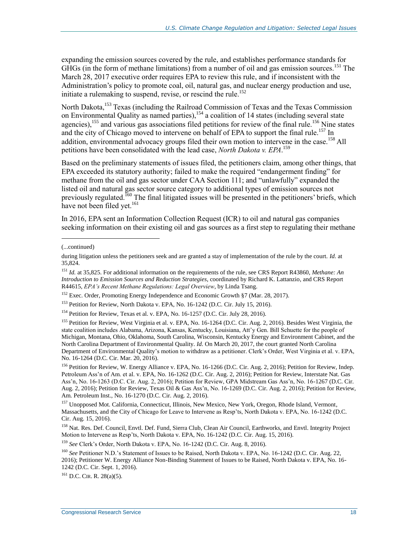expanding the emission sources covered by the rule, and establishes performance standards for GHGs (in the form of methane limitations) from a number of oil and gas emission sources.<sup>151</sup> The March 28, 2017 executive order requires EPA to review this rule, and if inconsistent with the Administration's policy to promote coal, oil, natural gas, and nuclear energy production and use, initiate a rulemaking to suspend, revise, or rescind the rule. 152

North Dakota,<sup>153</sup> Texas (including the Railroad Commission of Texas and the Texas Commission on Environmental Quality as named parties),  $154$  a coalition of 14 states (including several state agencies),<sup>155</sup> and various gas associations filed petitions for review of the final rule.<sup>156</sup> Nine states and the city of Chicago moved to intervene on behalf of EPA to support the final rule.<sup>157</sup> In addition, environmental advocacy groups filed their own motion to intervene in the case.<sup>158</sup> All petitions have been consolidated with the lead case, *North Dakota v. EPA*. 159

Based on the preliminary statements of issues filed, the petitioners claim, among other things, that EPA exceeded its statutory authority; failed to make the required "endangerment finding" for methane from the oil and gas sector under CAA Section 111; and "unlawfully" expanded the listed oil and natural gas sector source category to additional types of emission sources not previously regulated.<sup>160</sup> The final litigated issues will be presented in the petitioners' briefs, which have not been filed yet.<sup>161</sup>

In 2016, EPA sent an Information Collection Request (ICR) to oil and natural gas companies seeking information on their existing oil and gas sources as a first step to regulating their methane

 $\overline{a}$ 

<sup>159</sup> *See* Clerk's Order, North Dakota v. EPA, No. 16-1242 (D.C. Cir. Aug. 8, 2016).

<sup>(...</sup>continued)

during litigation unless the petitioners seek and are granted a stay of implementation of the rule by the court. *Id.* at 35,824.

<sup>151</sup> *Id.* at 35,825. For additional information on the requirements of the rule, see CRS Report R43860, *Methane: An Introduction to Emission Sources and Reduction Strategies*, coordinated by Richard K. Lattanzio, and CRS Report R44615, *EPA's Recent Methane Regulations: Legal Overview*, by Linda Tsang.

 $152$  Exec. Order, Promoting Energy Independence and Economic Growth §7 (Mar. 28, 2017).

<sup>&</sup>lt;sup>153</sup> Petition for Review, North Dakota v. EPA, No. 16-1242 (D.C. Cir. July 15, 2016).

<sup>154</sup> Petition for Review, Texas et al. v. EPA, No. 16-1257 (D.C. Cir. July 28, 2016).

<sup>155</sup> Petition for Review, West Virginia et al. v. EPA, No. 16-1264 (D.C. Cir. Aug. 2, 2016). Besides West Virginia, the state coalition includes Alabama, Arizona, Kansas, Kentucky, Louisiana, Att'y Gen. Bill Schuette for the people of Michigan, Montana, Ohio, Oklahoma, South Carolina, Wisconsin, Kentucky Energy and Environment Cabinet, and the North Carolina Department of Environmental Quality. *Id.* On March 20, 2017, the court granted North Carolina Department of Environmental Quality's motion to withdraw as a petitioner. Clerk's Order, West Virginia et al. v. EPA, No. 16-1264 (D.C. Cir. Mar. 20, 2016).

<sup>&</sup>lt;sup>156</sup> Petition for Review, W. Energy Alliance v. EPA, No. 16-1266 (D.C. Cir. Aug. 2, 2016); Petition for Review, Indep. Petroleum Ass'n of Am. et al. v. EPA, No. 16-1262 (D.C. Cir. Aug. 2, 2016); Petition for Review, Interstate Nat. Gas Ass'n, No. 16-1263 (D.C. Cir. Aug. 2, 2016); Petition for Review, GPA Midstream Gas Ass'n, No. 16-1267 (D.C. Cir. Aug. 2, 2016); Petition for Review, Texas Oil & Gas Ass'n, No. 16-1269 (D.C. Cir. Aug. 2, 2016); Petition for Review, Am. Petroleum Inst., No. 16-1270 (D.C. Cir. Aug. 2, 2016).

<sup>&</sup>lt;sup>157</sup> Unopposed Mot. California, Connecticut, Illinois, New Mexico, New York, Oregon, Rhode Island, Vermont, Massachusetts, and the City of Chicago for Leave to Intervene as Resp'ts, North Dakota v. EPA, No. 16-1242 (D.C. Cir. Aug. 15, 2016).

<sup>&</sup>lt;sup>158</sup> Nat. Res. Def. Council, Envtl. Def. Fund, Sierra Club, Clean Air Council, Earthworks, and Envtl. Integrity Project Motion to Intervene as Resp'ts, North Dakota v. EPA, No. 16-1242 (D.C. Cir. Aug. 15, 2016).

<sup>160</sup> *See* Petitioner N.D.'s Statement of Issues to be Raised, North Dakota v. EPA, No. 16-1242 (D.C. Cir. Aug. 22, 2016); Petitioner W. Energy Alliance Non-Binding Statement of Issues to be Raised, North Dakota v. EPA, No. 16- 1242 (D.C. Cir. Sept. 1, 2016).

 $^{161}$  D.C. CIR. R. 28(a)(5).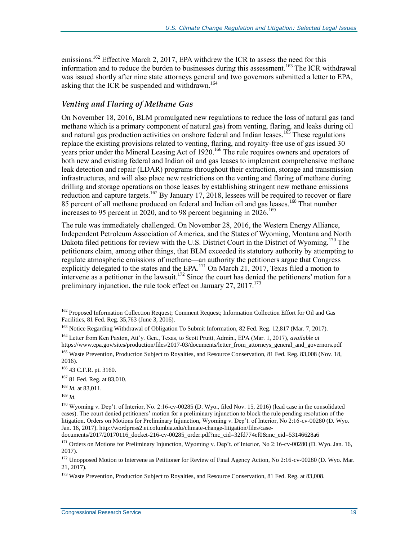emissions.<sup>162</sup> Effective March 2, 2017, EPA withdrew the ICR to assess the need for this information and to reduce the burden to businesses during this assessment.<sup>163</sup> The ICR withdrawal was issued shortly after nine state attorneys general and two governors submitted a letter to EPA, asking that the ICR be suspended and withdrawn.<sup>164</sup>

#### *Venting and Flaring of Methane Gas*

On November 18, 2016, BLM promulgated new regulations to reduce the loss of natural gas (and methane which is a primary component of natural gas) from venting, flaring, and leaks during oil and natural gas production activities on onshore federal and Indian leases.<sup>165</sup> These regulations replace the existing provisions related to venting, flaring, and royalty-free use of gas issued 30 years prior under the Mineral Leasing Act of 1920.<sup>166</sup> The rule requires owners and operators of both new and existing federal and Indian oil and gas leases to implement comprehensive methane leak detection and repair (LDAR) programs throughout their extraction, storage and transmission infrastructures, and will also place new restrictions on the venting and flaring of methane during drilling and storage operations on those leases by establishing stringent new methane emissions reduction and capture targets.<sup>167</sup> By January 17, 2018, lessees will be required to recover or flare 85 percent of all methane produced on federal and Indian oil and gas leases.<sup>168</sup> That number increases to 95 percent in 2020, and to 98 percent beginning in  $2026$ .<sup>169</sup>

The rule was immediately challenged. On November 28, 2016, the Western Energy Alliance, Independent Petroleum Association of America, and the States of Wyoming, Montana and North Dakota filed petitions for review with the U.S. District Court in the District of Wyoming.<sup>170</sup> The petitioners claim, among other things, that BLM exceeded its statutory authority by attempting to regulate atmospheric emissions of methane—an authority the petitioners argue that Congress explicitly delegated to the states and the EPA.<sup>171</sup> On March 21, 2017, Texas filed a motion to intervene as a petitioner in the lawsuit.<sup>172</sup> Since the court has denied the petitioners' motion for a preliminary injunction, the rule took effect on January  $27, 2017$ .<sup>173</sup>

<sup>169</sup> *Id.*

<sup>&</sup>lt;sup>162</sup> Proposed Information Collection Request; Comment Request; Information Collection Effort for Oil and Gas Facilities, 81 Fed. Reg. 35,763 (June 3, 2016).

<sup>&</sup>lt;sup>163</sup> Notice Regarding Withdrawal of Obligation To Submit Information, 82 Fed. Reg. 12,817 (Mar. 7, 2017).

<sup>164</sup> Letter from Ken Paxton, Att'y. Gen., Texas, to Scott Pruitt, Admin., EPA (Mar. 1, 2017), *available at* https://www.epa.gov/sites/production/files/2017-03/documents/letter\_from\_attorneys\_general\_and\_governors.pdf <sup>165</sup> Waste Prevention, Production Subject to Royalties, and Resource Conservation, 81 Fed. Reg. 83,008 (Nov. 18, 2016).

<sup>166</sup> 43 C.F.R. pt. 3160.

<sup>167</sup> 81 Fed. Reg. at 83,010.

<sup>168</sup> *Id.* at 83,011.

<sup>170</sup> Wyoming v. Dep't. of Interior, No. 2:16-cv-00285 (D. Wyo., filed Nov. 15, 2016) (lead case in the consolidated cases). The court denied petitioners' motion for a preliminary injunction to block the rule pending resolution of the litigation. Orders on Motions for Preliminary Injunction, Wyoming v. Dep't. of Interior, No 2:16-cv-00280 (D. Wyo. Jan. 16, 2017). http://wordpress2.ei.columbia.edu/climate-change-litigation/files/case-

documents/2017/20170116\_docket-216-cv-00285\_order.pdf?mc\_cid=32fd774ef0&mc\_eid=53146628a6

<sup>&</sup>lt;sup>171</sup> Orders on Motions for Preliminary Injunction, Wyoming v. Dep't. of Interior, No 2:16-cv-00280 (D. Wyo. Jan. 16, 2017).

<sup>&</sup>lt;sup>172</sup> Unopposed Motion to Intervene as Petitioner for Review of Final Agency Action, No 2:16-cv-00280 (D. Wyo. Mar. 21, 2017).

<sup>&</sup>lt;sup>173</sup> Waste Prevention, Production Subject to Royalties, and Resource Conservation, 81 Fed. Reg. at 83,008.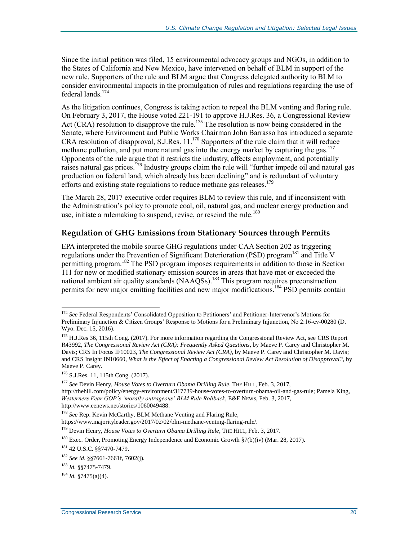Since the initial petition was filed, 15 environmental advocacy groups and NGOs, in addition to the States of California and New Mexico, have intervened on behalf of BLM in support of the new rule. Supporters of the rule and BLM argue that Congress delegated authority to BLM to consider environmental impacts in the promulgation of rules and regulations regarding the use of federal lands.<sup>174</sup>

As the litigation continues, Congress is taking action to repeal the BLM venting and flaring rule. On February 3, 2017, the House voted 221-191 to approve H.J.Res. 36, a Congressional Review Act (CRA) resolution to disapprove the rule.<sup>175</sup> The resolution is now being considered in the Senate, where Environment and Public Works Chairman John Barrasso has introduced a separate CRA resolution of disapproval, [S.J.Res. 11.](http://www.congress.gov/cgi-lis/bdquery/z?d115:S.J.Res.11:)<sup>176</sup> Supporters of the rule claim that it will reduce methane pollution, and put more natural gas into the energy market by capturing the gas.<sup>177</sup> Opponents of the rule argue that it restricts the industry, affects employment, and potentially raises natural gas prices.<sup>178</sup> Industry groups claim the rule will "further impede oil and natural gas production on federal land, which already has been declining" and is redundant of voluntary efforts and existing state regulations to reduce methane gas releases.<sup>179</sup>

The March 28, 2017 executive order requires BLM to review this rule, and if inconsistent with the Administration's policy to promote coal, oil, natural gas, and nuclear energy production and use, initiate a rulemaking to suspend, revise, or rescind the rule. 180

#### <span id="page-22-0"></span>**Regulation of GHG Emissions from Stationary Sources through Permits**

EPA interpreted the mobile source GHG regulations under CAA Section 202 as triggering regulations under the Prevention of Significant Deterioration (PSD) program<sup>181</sup> and Title V permitting program.<sup>182</sup> The PSD program imposes requirements in addition to those in Section 111 for new or modified stationary emission sources in areas that have met or exceeded the national ambient air quality standards (NAAQSs).<sup>183</sup> This program requires preconstruction permits for new major emitting facilities and new major modifications.<sup>184</sup> PSD permits contain

<sup>177</sup> *See* Devin Henry, *House Votes to Overturn Obama Drilling Rule*, THE HILL, Feb. 3, 2017, http://thehill.com/policy/energy-environment/317739-house-votes-to-overturn-obama-oil-and-gas-rule; Pamela King, *Westerners Fear GOP's 'morally outrageous' BLM Rule Rollback*, E&E NEWS, Feb. 3, 2017, http://www.eenews.net/stories/1060049488.

<sup>178</sup> *See* Rep. Kevin McCarthy, BLM Methane Venting and Flaring Rule,

<sup>174</sup> *See* Federal Respondents' Consolidated Opposition to Petitioners' and Petitioner-Intervenor's Motions for Preliminary Injunction & Citizen Groups' Response to Motions for a Preliminary Injunction, No 2:16-cv-00280 (D. Wyo. Dec. 15, 2016).

<sup>&</sup>lt;sup>175</sup> H.J.Res 36, 115th Cong. (2017). For more information regarding the Congressional Review Act, see CRS Report R43992, *The Congressional Review Act (CRA): Frequently Asked Questions*, by Maeve P. Carey and Christopher M. Davis; CRS In Focus IF10023, *The Congressional Review Act (CRA)*, by Maeve P. Carey and Christopher M. Davis; and CRS Insight IN10660, *What Is the Effect of Enacting a Congressional Review Act Resolution of Disapproval?*, by Maeve P. Carey.

<sup>176</sup> S.J.Res. 11, 115th Cong. (2017).

https://www.majorityleader.gov/2017/02/02/blm-methane-venting-flaring-rule/.

<sup>&</sup>lt;sup>179</sup> Devin Henry, *House Votes to Overturn Obama Drilling Rule*, THE HILL, Feb. 3, 2017.

<sup>&</sup>lt;sup>180</sup> Exec. Order, Promoting Energy Independence and Economic Growth  $\frac{\sqrt{7}}{\sqrt{7}}$  (Mar. 28, 2017).

<sup>181</sup> 42 U.S.C. §§7470-7479.

<sup>182</sup> *See id*. §§7661-7661f, 7602(j).

<sup>183</sup> *Id.* §§7475-7479.

<sup>184</sup> *Id.* §7475(a)(4).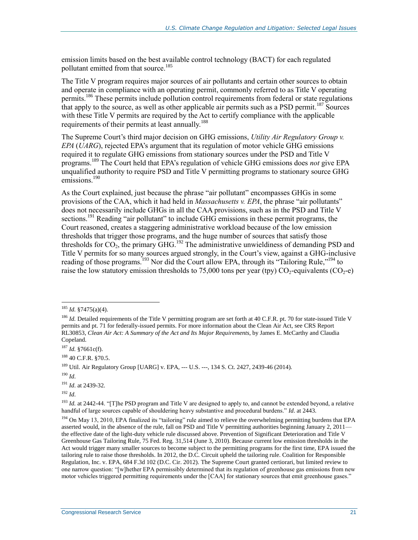emission limits based on the best available control technology (BACT) for each regulated pollutant emitted from that source.<sup>185</sup>

The Title V program requires major sources of air pollutants and certain other sources to obtain and operate in compliance with an operating permit, commonly referred to as Title V operating permits.<sup>186</sup> These permits include pollution control requirements from federal or state regulations that apply to the source, as well as other applicable air permits such as a PSD permit.<sup>187</sup> Sources with these Title V permits are required by the Act to certify compliance with the applicable requirements of their permits at least annually.<sup>188</sup>

The Supreme Court's third major decision on GHG emissions, *Utility Air Regulatory Group v. EPA* (*UARG*), rejected EPA's argument that its regulation of motor vehicle GHG emissions required it to regulate GHG emissions from stationary sources under the PSD and Title V programs. <sup>189</sup> The Court held that EPA's regulation of vehicle GHG emissions does *not* give EPA unqualified authority to require PSD and Title V permitting programs to stationary source GHG emissions.<sup>190</sup>

As the Court explained, just because the phrase "air pollutant" encompasses GHGs in some provisions of the CAA, which it had held in *Massachusetts v. EPA*, the phrase "air pollutants" does not necessarily include GHGs in all the CAA provisions, such as in the PSD and Title V sections.<sup>191</sup> Reading "air pollutant" to include GHG emissions in these permit programs, the Court reasoned, creates a staggering administrative workload because of the low emission thresholds that trigger those programs, and the huge number of sources that satisfy those thresholds for  $CO<sub>2</sub>$ , the primary GHG.<sup>192</sup> The administrative unwieldiness of demanding PSD and Title V permits for so many sources argued strongly, in the Court's view, against a GHG-inclusive reading of those programs.<sup>193</sup> Nor did the Court allow EPA, through its "Tailoring Rule,"<sup>194</sup> to raise the low statutory emission thresholds to 75,000 tons per year (tpy)  $CO_2$ -equivalents ( $CO_2$ -e)

 $\overline{a}$ 

<sup>192</sup> *Id*.

<sup>185</sup> *Id.* §7475(a)(4).

<sup>&</sup>lt;sup>186</sup> *Id.* Detailed requirements of the Title V permitting program are set forth at 40 C.F.R. pt. 70 for state-issued Title V permits and pt. 71 for federally-issued permits. For more information about the Clean Air Act, see CRS Report RL30853, *Clean Air Act: A Summary of the Act and Its Major Requirements*, by James E. McCarthy and Claudia Copeland.

<sup>187</sup> *Id.* §7661c(f).

 $188$  40 C.F.R.  $$70.5.$ 

<sup>189</sup> Util. Air Regulatory Group [UARG] v. EPA, --- U.S. ---, 134 S. Ct. 2427, 2439-46 (2014).

<sup>190</sup> *Id*.

<sup>191</sup> *Id*. at 2439-32.

<sup>&</sup>lt;sup>193</sup> *Id.* at 2442-44. "[T]he PSD program and Title V are designed to apply to, and cannot be extended beyond, a relative handful of large sources capable of shouldering heavy substantive and procedural burdens." *Id*. at 2443.

<sup>194</sup> On May 13, 2010, EPA finalized its "tailoring" rule aimed to relieve the overwhelming permitting burdens that EPA asserted would, in the absence of the rule, fall on PSD and Title V permitting authorities beginning January 2, 2011 the effective date of the light-duty vehicle rule discussed above. Prevention of Significant Deterioration and Title V Greenhouse Gas Tailoring Rule, 75 Fed. Reg. 31,514 (June 3, 2010). Because current low emission thresholds in the Act would trigger many smaller sources to become subject to the permitting programs for the first time, EPA issued the tailoring rule to raise those thresholds. In 2012, the D.C. Circuit upheld the tailoring rule. Coalition for Responsible Regulation, Inc. v. EPA, 684 F.3d 102 (D.C. Cir. 2012). The Supreme Court granted certiorari, but limited review to one narrow question: "[w]hether EPA permissibly determined that its regulation of greenhouse gas emissions from new motor vehicles triggered permitting requirements under the [CAA] for stationary sources that emit greenhouse gases."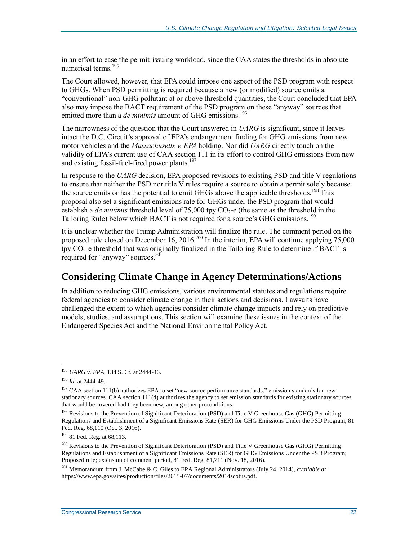in an effort to ease the permit-issuing workload, since the CAA states the thresholds in absolute numerical terms.<sup>195</sup>

The Court allowed, however, that EPA could impose one aspect of the PSD program with respect to GHGs. When PSD permitting is required because a new (or modified) source emits a "conventional" non-GHG pollutant at or above threshold quantities, the Court concluded that EPA also may impose the BACT requirement of the PSD program on these "anyway" sources that emitted more than a *de minimis* amount of GHG emissions.<sup>196</sup>

The narrowness of the question that the Court answered in *UARG* is significant, since it leaves intact the D.C. Circuit's approval of EPA's endangerment finding for GHG emissions from new motor vehicles and the *Massachusetts v. EPA* holding. Nor did *UARG* directly touch on the validity of EPA's current use of CAA section 111 in its effort to control GHG emissions from new and existing fossil-fuel-fired power plants.<sup>197</sup>

In response to the *UARG* decision, EPA proposed revisions to existing PSD and title V regulations to ensure that neither the PSD nor title V rules require a source to obtain a permit solely because the source emits or has the potential to emit GHGs above the applicable thresholds.<sup>198</sup> This proposal also set a significant emissions rate for GHGs under the PSD program that would establish a *de minimis* threshold level of  $75,000$  tpy  $CO<sub>2</sub>$ -e (the same as the threshold in the Tailoring Rule) below which BACT is not required for a source's GHG emissions.<sup>199</sup>

It is unclear whether the Trump Administration will finalize the rule. The comment period on the proposed rule closed on December 16, 2016.<sup>200</sup> In the interim, EPA will continue applying 75,000 tpy  $CO<sub>2</sub>$ -e threshold that was originally finalized in the Tailoring Rule to determine if BACT is required for "anyway" sources.<sup>201</sup>

### <span id="page-24-0"></span>**Considering Climate Change in Agency Determinations/Actions**

In addition to reducing GHG emissions, various environmental statutes and regulations require federal agencies to consider climate change in their actions and decisions. Lawsuits have challenged the extent to which agencies consider climate change impacts and rely on predictive models, studies, and assumptions. This section will examine these issues in the context of the Endangered Species Act and the National Environmental Policy Act.

<sup>195</sup> *UARG v. EPA*, 134 S. Ct. at 2444-46.

<sup>196</sup> *Id*. at 2444-49.

<sup>&</sup>lt;sup>197</sup> CAA section 111(b) authorizes EPA to set "new source performance standards," emission standards for new stationary sources. CAA section 111(d) authorizes the agency to set emission standards for existing stationary sources that would be covered had they been new, among other preconditions.

<sup>&</sup>lt;sup>198</sup> Revisions to the Prevention of Significant Deterioration (PSD) and Title V Greenhouse Gas (GHG) Permitting Regulations and Establishment of a Significant Emissions Rate (SER) for GHG Emissions Under the PSD Program, 81 Fed. Reg. 68,110 (Oct. 3, 2016).

<sup>199</sup> 81 Fed. Reg. at 68,113.

<sup>&</sup>lt;sup>200</sup> Revisions to the Prevention of Significant Deterioration (PSD) and Title V Greenhouse Gas (GHG) Permitting Regulations and Establishment of a Significant Emissions Rate (SER) for GHG Emissions Under the PSD Program; Proposed rule; extension of comment period, 81 Fed. Reg. 81,711 (Nov. 18, 2016).

<sup>201</sup> Memorandum from J. McCabe & C. Giles to EPA Regional Administrators (July 24, 2014), *available at* https://www.epa.gov/sites/production/files/2015-07/documents/2014scotus.pdf.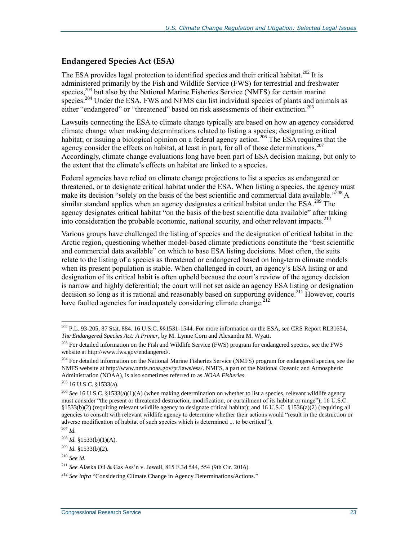#### **Endangered Species Act (ESA)**

The ESA provides legal protection to identified species and their critical habitat.<sup>202</sup> It is administered primarily by the Fish and Wildlife Service (FWS) for terrestrial and freshwater species,<sup>203</sup> but also by the National Marine Fisheries Service (NMFS) for certain marine species.<sup>204</sup> Under the ESA, FWS and NFMS can list individual species of plants and animals as either "endangered" or "threatened" based on risk assessments of their extinction.<sup>205</sup>

Lawsuits connecting the ESA to climate change typically are based on how an agency considered climate change when making determinations related to listing a species; designating critical habitat; or issuing a biological opinion on a federal agency action.<sup>206</sup> The ESA requires that the agency consider the effects on habitat, at least in part, for all of those determinations.<sup>207</sup> Accordingly, climate change evaluations long have been part of ESA decision making, but only to the extent that the climate's effects on habitat are linked to a species.

Federal agencies have relied on climate change projections to list a species as endangered or threatened, or to designate critical habitat under the ESA. When listing a species, the agency must make its decision "solely on the basis of the best scientific and commercial data available."<sup>208</sup> A similar standard applies when an agency designates a critical habitat under the ESA.<sup>209</sup> The agency designates critical habitat "on the basis of the best scientific data available" after taking into consideration the probable economic, national security, and other relevant impacts.<sup>210</sup>

Various groups have challenged the listing of species and the designation of critical habitat in the Arctic region, questioning whether model-based climate predictions constitute the "best scientific and commercial data available" on which to base ESA listing decisions. Most often, the suits relate to the listing of a species as threatened or endangered based on long-term climate models when its present population is stable. When challenged in court, an agency's ESA listing or and designation of its critical habit is often upheld because the court's review of the agency decision is narrow and highly deferential; the court will not set aside an agency ESA listing or designation decision so long as it is rational and reasonably based on supporting evidence.<sup>211</sup> However, courts have faulted agencies for inadequately considering climate change.<sup>212</sup>

 $^{202}$  P.L. 93-205, 87 Stat. 884. 16 U.S.C. §§1531-1544. For more information on the ESA, see CRS Report RL31654, *The Endangered Species Act: A Primer*, by M. Lynne Corn and Alexandra M. Wyatt.

<sup>&</sup>lt;sup>203</sup> For detailed information on the Fish and Wildlife Service (FWS) program for endangered species, see the FWS website at http://www.fws.gov/endangered/.

<sup>&</sup>lt;sup>204</sup> For detailed information on the National Marine Fisheries Service (NMFS) program for endangered species, see the NMFS website at http://www.nmfs.noaa.gov/pr/laws/esa/. NMFS, a part of the National Oceanic and Atmospheric Administration (NOAA), is also sometimes referred to as *NOAA Fisheries*.

<sup>205</sup> 16 U.S.C. §1533(a).

<sup>206</sup> *See* 16 U.S.C. §1533(a)(1)(A) (when making determination on whether to list a species, relevant wildlife agency must consider "the present or threatened destruction, modification, or curtailment of its habitat or range"); 16 U.S.C. §1533(b)(2) (requiring relevant wildlife agency to designate critical habitat); and 16 U.S.C. §1536(a)(2) (requiring all agencies to consult with relevant wildlife agency to determine whether their actions would "result in the destruction or adverse modification of habitat of such species which is determined ... to be critical"). <sup>207</sup> *Id.*

 $^{208}$  *Id.* §1533(b)(1)(A).

 $^{209}$  *Id.* §1533(b)(2).

<sup>210</sup> *See id*.

<sup>211</sup> *See* Alaska Oil & Gas Ass'n v. Jewell, 815 F.3d 544, 554 (9th Cir. 2016).

<sup>212</sup> *See infra* "Considering [Climate Change in Agency Determinations/Actions.](#page-24-0)"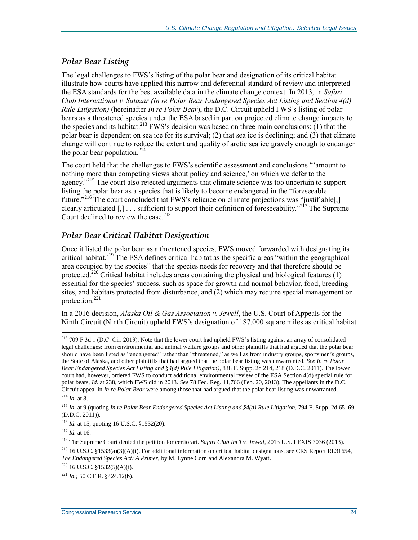#### *Polar Bear Listing*

The legal challenges to FWS's listing of the polar bear and designation of its critical habitat illustrate how courts have applied this narrow and deferential standard of review and interpreted the ESA standards for the best available data in the climate change context. In 2013, in *Safari Club International v. Salazar (In re Polar Bear Endangered Species Act Listing and Section 4(d) Rule Litigation)* (hereinafter *In re Polar Bear*), the D.C. Circuit upheld FWS's listing of polar bears as a threatened species under the ESA based in part on projected climate change impacts to the species and its habitat.<sup>213</sup> FWS's decision was based on three main conclusions: (1) that the polar bear is dependent on sea ice for its survival; (2) that sea ice is declining; and (3) that climate change will continue to reduce the extent and quality of arctic sea ice gravely enough to endanger the polar bear population. $214$ 

The court held that the challenges to FWS's scientific assessment and conclusions "'amount to nothing more than competing views about policy and science,' on which we defer to the agency."<sup>215</sup> The court also rejected arguments that climate science was too uncertain to support listing the polar bear as a species that is likely to become endangered in the "foreseeable future."<sup>216</sup> The court concluded that FWS's reliance on climate projections was "justifiable<sup>[1]</sup> clearly articulated  $[.]$  ... sufficient to support their definition of foreseeability.<sup>"217</sup> The Supreme Court declined to review the case.<sup>218</sup>

#### *Polar Bear Critical Habitat Designation*

Once it listed the polar bear as a threatened species, FWS moved forwarded with designating its critical habitat.<sup>219</sup> The ESA defines critical habitat as the specific areas "within the geographical area occupied by the species" that the species needs for recovery and that therefore should be protected.<sup>220</sup> Critical habitat includes areas containing the physical and biological features  $(1)$ essential for the species' success, such as space for growth and normal behavior, food, breeding sites, and habitats protected from disturbance, and (2) which may require special management or protection.<sup>221</sup>

In a 2016 decision, *Alaska Oil & Gas Association v. Jewell*, the U.S. Court of Appeals for the Ninth Circuit (Ninth Circuit) upheld FWS's designation of 187,000 square miles as critical habitat

 $^{213}$  709 F.3d 1 (D.C. Cir. 2013). Note that the lower court had upheld FWS's listing against an array of consolidated legal challenges: from environmental and animal welfare groups and other plaintiffs that had argued that the polar bear should have been listed as "endangered" rather than "threatened," as well as from industry groups, sportsmen's groups, the State of Alaska, and other plaintiffs that had argued that the polar bear listing was unwarranted. *See In re Polar Bear Endangered Species Act Listing and §4(d) Rule Litigation)*, 838 F. Supp. 2d 214, 218 (D.D.C. 2011). The lower court had, however, ordered FWS to conduct additional environmental review of the ESA Section 4(d) special rule for polar bears, *Id.* at 238, which FWS did in 2013. *See* 78 Fed. Reg. 11,766 (Feb. 20, 2013). The appellants in the D.C. Circuit appeal in *In re Polar Bear* were among those that had argued that the polar bear listing was unwarranted.

<sup>214</sup> *Id.* at 8.

<sup>215</sup> *Id.* at 9 (quoting *In re Polar Bear Endangered Species Act Listing and §4(d) Rule Litigation*, 794 F. Supp. 2d 65, 69 (D.D.C. 2011)).

<sup>216</sup> *Id.* at 15, quoting 16 U.S.C. §1532(20).

 $^{217}$  *Id.* at 16.

<sup>218</sup> The Supreme Court denied the petition for certiorari. *Safari Club Int'l v. Jewell*, 2013 U.S. LEXIS 7036 (2013).

<sup>&</sup>lt;sup>219</sup> 16 U.S.C. §1533(a)(3)(A)(i). For additional information on critical habitat designations, see CRS Report RL31654, *The Endangered Species Act: A Primer*, by M. Lynne Corn and Alexandra M. Wyatt.

<sup>220</sup> 16 U.S.C. §1532(5)(A)(i).

<sup>221</sup> *Id.;* 50 C.F.R. §424.12(b).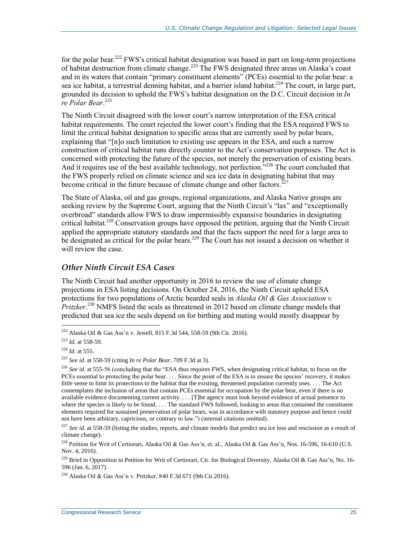for the polar bear.<sup>222</sup> FWS's critical habitat designation was based in part on long-term projections of habitat destruction from climate change.<sup>223</sup> The FWS designated three areas on Alaska's coast and in its waters that contain "primary constituent elements" (PCEs) essential to the polar bear: a sea ice habitat, a terrestrial denning habitat, and a barrier island habitat.<sup>224</sup> The court, in large part, grounded its decision to uphold the FWS's habitat designation on the D.C. Circuit decision in *In re Polar Bear*. 225

The Ninth Circuit disagreed with the lower court's narrow interpretation of the ESA critical habitat requirements. The court rejected the lower court's finding that the ESA required FWS to limit the critical habitat designation to specific areas that are currently used by polar bears, explaining that "[n]o such limitation to existing use appears in the ESA, and such a narrow construction of critical habitat runs directly counter to the Act's conservation purposes. The Act is concerned with protecting the future of the species, not merely the preservation of existing bears. And it requires use of the best available technology, not perfection.<sup>7226</sup> The court concluded that the FWS properly relied on climate science and sea ice data in designating habitat that may become critical in the future because of climate change and other factors.<sup>2</sup>

The State of Alaska, oil and gas groups, regional organizations, and Alaska Native groups are seeking review by the Supreme Court, arguing that the Ninth Circuit's "lax" and "exceptionally overbroad" standards allow FWS to draw impermissibly expansive boundaries in designating critical habitat.<sup>228</sup> Conservation groups have opposed the petition, arguing that the Ninth Circuit applied the appropriate statutory standards and that the facts support the need for a large area to be designated as critical for the polar bears.<sup>229</sup> The Court has not issued a decision on whether it will review the case.

#### *Other Ninth Circuit ESA Cases*

The Ninth Circuit had another opportunity in 2016 to review the use of climate change projections in ESA listing decisions. On October 24, 2016, the Ninth Circuit upheld ESA protections for two populations of Arctic bearded seals in *Alaska Oil & Gas Association v. Pritzker*. <sup>230</sup> NMFS listed the seals as threatened in 2012 based on climate change models that predicted that sea ice the seals depend on for birthing and mating would mostly disappear by

 $^{222}$  Alaska Oil & Gas Ass'n v. Jewell, 815 F.3d 544, 558-59 (9th Cir. 2016).

<sup>223</sup> *Id.* at 558-59.

<sup>224</sup> *Id.* at 555.

<sup>225</sup> *See id.* at 558-59 (citing *In re Polar Bear*, 709 F.3d at 3).

<sup>&</sup>lt;sup>226</sup> See id, at 555-56 (concluding that the "ESA thus requires FWS, when designating critical habitat, to focus on the PCEs essential to protecting the polar bear. . . . Since the point of the ESA is to ensure the species' recovery, it makes little sense to limit its protections to the habitat that the existing, threatened population currently uses. . . . The Act contemplates the inclusion of areas that contain PCEs essential for occupation by the polar bear, even if there is no available evidence documenting current activity. . . . [T]he agency must look beyond evidence of actual presence to where the species is likely to be found. . . . The standard FWS followed, looking to areas that contained the constituent elements required for sustained preservation of polar bears, was in accordance with statutory purpose and hence could not have been arbitrary, capricious, or contrary to law.") (internal citations omitted).

<sup>&</sup>lt;sup>227</sup> See id. at 558-59 (listing the studies, reports, and climate models that predict sea ice loss and rescission as a result of climate change).

<sup>&</sup>lt;sup>228</sup> Petition for Writ of Certiorari, Alaska Oil & Gas Ass'n, et. al., Alaska Oil & Gas Ass'n, Nos. 16-596, 16-610 (U.S. Nov. 4, 2016).

<sup>&</sup>lt;sup>229</sup> Brief in Opposition to Petition for Writ of Certiorari, Ctr. for Biological Diversity, Alaska Oil & Gas Ass'n, No. 16-596 (Jan. 6, 2017).

 $^{230}$  Alaska Oil & Gas Ass'n v. Pritzker, 840 F.3d 671 (9th Cir.2016).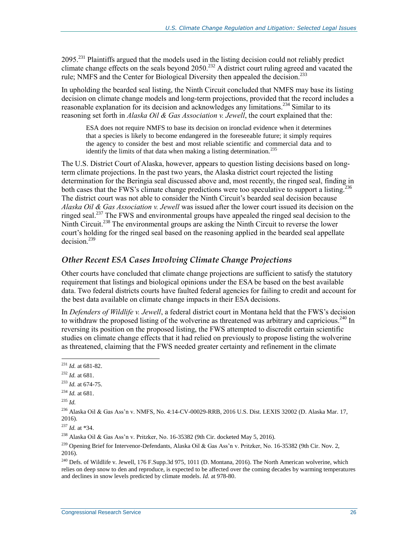2095.<sup>231</sup> Plaintiffs argued that the models used in the listing decision could not reliably predict climate change effects on the seals beyond 2050.<sup>232</sup> A district court ruling agreed and vacated the rule; NMFS and the Center for Biological Diversity then appealed the decision.<sup>233</sup>

In upholding the bearded seal listing, the Ninth Circuit concluded that NMFS may base its listing decision on climate change models and long-term projections, provided that the record includes a reasonable explanation for its decision and acknowledges any limitations.<sup>234</sup> Similar to its reasoning set forth in *Alaska Oil & Gas Association v. Jewell*, the court explained that the:

ESA does not require NMFS to base its decision on ironclad evidence when it determines that a species is likely to become endangered in the foreseeable future; it simply requires the agency to consider the best and most reliable scientific and commercial data and to identify the limits of that data when making a listing determination.<sup>235</sup>

The U.S. District Court of Alaska, however, appears to question listing decisions based on longterm climate projections. In the past two years, the Alaska district court rejected the listing determination for the Beringia seal discussed above and, most recently, the ringed seal, finding in both cases that the FWS's climate change predictions were too speculative to support a listing.<sup>236</sup> The district court was not able to consider the Ninth Circuit's bearded seal decision because *Alaska Oil & Gas Association v. Jewell* was issued after the lower court issued its decision on the ringed seal.<sup>237</sup> The FWS and environmental groups have appealed the ringed seal decision to the Ninth Circuit.<sup>238</sup> The environmental groups are asking the Ninth Circuit to reverse the lower court's holding for the ringed seal based on the reasoning applied in the bearded seal appellate decision. 239

#### *Other Recent ESA Cases Involving Climate Change Projections*

Other courts have concluded that climate change projections are sufficient to satisfy the statutory requirement that listings and biological opinions under the ESA be based on the best available data. Two federal districts courts have faulted federal agencies for failing to credit and account for the best data available on climate change impacts in their ESA decisions.

In *Defenders of Wildlife v. Jewell*, a federal district court in Montana held that the FWS's decision to withdraw the proposed listing of the wolverine as threatened was arbitrary and capricious.<sup>240</sup> In reversing its position on the proposed listing, the FWS attempted to discredit certain scientific studies on climate change effects that it had relied on previously to propose listing the wolverine as threatened, claiming that the FWS needed greater certainty and refinement in the climate

<sup>231</sup> *Id.* at 681-82.

<sup>232</sup> *Id.* at 681.

<sup>233</sup> *Id.* at 674-75.

 $^{234}$  *Id.* at 681.

<sup>235</sup> *Id.*

<sup>236</sup> Alaska Oil & Gas Ass'n v. NMFS, No. 4:14-CV-00029-RRB, 2016 U.S. Dist. LEXIS 32002 (D. Alaska Mar. 17, 2016).

<sup>237</sup> *Id.* at \*34.

<sup>&</sup>lt;sup>238</sup> Alaska Oil & Gas Ass'n v. Pritzker, No. 16-35382 (9th Cir. docketed May 5, 2016).

<sup>&</sup>lt;sup>239</sup> Opening Brief for Intervenor-Defendants, Alaska Oil & Gas Ass'n v. Pritzker, No. 16-35382 (9th Cir. Nov. 2, 2016).

<sup>&</sup>lt;sup>240</sup> Defs. of Wildlife v. Jewell, 176 F.Supp.3d 975, 1011 (D. Montana, 2016). The North American wolverine, which relies on deep snow to den and reproduce, is expected to be affected over the coming decades by warming temperatures and declines in snow levels predicted by climate models. *Id.* at 978-80.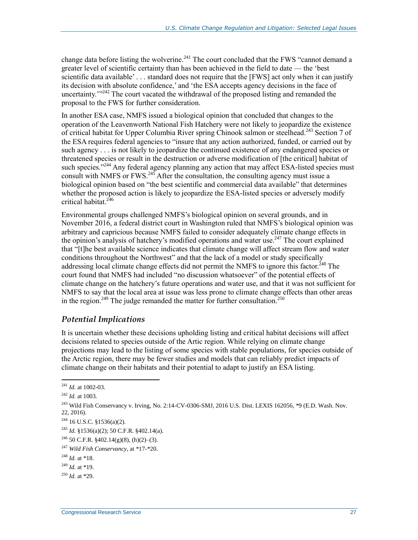change data before listing the wolverine.<sup>241</sup> The court concluded that the FWS "cannot demand a greater level of scientific certainty than has been achieved in the field to date — the 'best scientific data available'... standard does not require that the [FWS] act only when it can justify its decision with absolute confidence,' and 'the ESA accepts agency decisions in the face of uncertainty. $1^{242}$  The court vacated the withdrawal of the proposed listing and remanded the proposal to the FWS for further consideration.

In another ESA case, NMFS issued a biological opinion that concluded that changes to the operation of the Leavenworth National Fish Hatchery were not likely to jeopardize the existence of critical habitat for Upper Columbia River spring Chinook salmon or steelhead.<sup>243</sup> Section 7 of the ESA requires federal agencies to "insure that any action authorized, funded, or carried out by such agency . . . is not likely to jeopardize the continued existence of any endangered species or threatened species or result in the destruction or adverse modification of [the critical] habitat of such species."<sup>244</sup> Any federal agency planning any action that may affect ESA-listed species must consult with NMFS or FWS. $^{245}$  After the consultation, the consulting agency must issue a biological opinion based on "the best scientific and commercial data available" that determines whether the proposed action is likely to jeopardize the ESA-listed species or adversely modify critical habitat.<sup>246</sup>

Environmental groups challenged NMFS's biological opinion on several grounds, and in November 2016, a federal district court in Washington ruled that NMFS's biological opinion was arbitrary and capricious because NMFS failed to consider adequately climate change effects in the opinion's analysis of hatchery's modified operations and water use.<sup>247</sup> The court explained that "[t]he best available science indicates that climate change will affect stream flow and water conditions throughout the Northwest" and that the lack of a model or study specifically addressing local climate change effects did not permit the NMFS to ignore this factor.<sup>248</sup> The court found that NMFS had included "no discussion whatsoever" of the potential effects of climate change on the hatchery's future operations and water use, and that it was not sufficient for NMFS to say that the local area at issue was less prone to climate change effects than other areas in the region.<sup>249</sup> The judge remanded the matter for further consultation.<sup>250</sup>

#### *Potential Implications*

It is uncertain whether these decisions upholding listing and critical habitat decisions will affect decisions related to species outside of the Artic region. While relying on climate change projections may lead to the listing of some species with stable populations, for species outside of the Arctic region, there may be fewer studies and models that can reliably predict impacts of climate change on their habitats and their potential to adapt to justify an ESA listing.

<sup>241</sup> *Id.* at 1002-03.

<sup>242</sup> *Id.* at 1003.

<sup>243</sup> Wild Fish Conservancy v. Irving, No. 2:14-CV-0306-SMJ, 2016 U.S. Dist. LEXIS 162056, \*9 (E.D. Wash. Nov. 22, 2016).

<sup>244</sup> 16 U.S.C. §1536(a)(2).

<sup>245</sup> *Id.* §1536(a)(2); 50 C.F.R. §402.14(a).

<sup>&</sup>lt;sup>246</sup> 50 C.F.R. §402.14(g)(8), (h)(2)–(3).

<sup>247</sup> *Wild Fish Conservancy*, at \*17-\*20.

 $^{248}$  *Id.* at \*18.

<sup>249</sup> *Id.* at \*19.

 $^{250}$  *Id.* at \*29.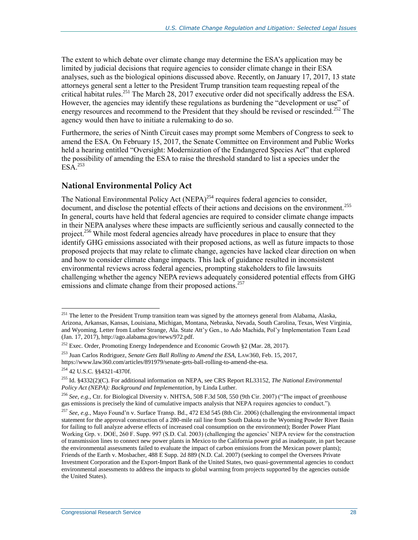The extent to which debate over climate change may determine the ESA's application may be limited by judicial decisions that require agencies to consider climate change in their ESA analyses, such as the biological opinions discussed above. Recently, on January 17, 2017, 13 state attorneys general sent a letter to the President Trump transition team requesting repeal of the critical habitat rules.<sup>251</sup> The March 28, 2017 executive order did not specifically address the ESA. However, the agencies may identify these regulations as burdening the "development or use" of energy resources and recommend to the President that they should be revised or rescinded.<sup>252</sup> The agency would then have to initiate a rulemaking to do so.

Furthermore, the series of Ninth Circuit cases may prompt some Members of Congress to seek to amend the ESA. On February 15, 2017, the Senate Committee on Environment and Public Works held a hearing entitled "Oversight: Modernization of the Endangered Species Act" that explored the possibility of amending the ESA to raise the threshold standard to list a species under the  $ESA^{253}$ 

#### <span id="page-30-0"></span>**National Environmental Policy Act**

The National Environmental Policy Act (NEPA)<sup>254</sup> requires federal agencies to consider, document, and disclose the potential effects of their actions and decisions on the environment.<sup>255</sup> In general, courts have held that federal agencies are required to consider climate change impacts in their NEPA analyses where these impacts are sufficiently serious and causally connected to the project.<sup>256</sup> While most federal agencies already have procedures in place to ensure that they identify GHG emissions associated with their proposed actions, as well as future impacts to those proposed projects that may relate to climate change, agencies have lacked clear direction on when and how to consider climate change impacts. This lack of guidance resulted in inconsistent environmental reviews across federal agencies, prompting stakeholders to file lawsuits challenging whether the agency NEPA reviews adequately considered potential effects from GHG emissions and climate change from their proposed actions.<sup>257</sup>

<sup>&</sup>lt;sup>251</sup> The letter to the President Trump transition team was signed by the attorneys general from Alabama, Alaska, Arizona, Arkansas, Kansas, Louisiana, Michigan, Montana, Nebraska, Nevada, South Carolina, Texas, West Virginia, and Wyoming. Letter from Luther Strange, Ala. State Att'y Gen., to Ado Machida, Pol'y Implementation Team Lead (Jan. 17, 2017), http://ago.alabama.gov/news/972.pdf.

<sup>&</sup>lt;sup>252</sup> Exec. Order, Promoting Energy Independence and Economic Growth §2 (Mar. 28, 2017).

<sup>253</sup> Juan Carlos Rodriguez, *Senate Gets Ball Rolling to Amend the ESA*, LAW360, Feb. 15, 2017, https://www.law360.com/articles/891979/senate-gets-ball-rolling-to-amend-the-esa.

<sup>254</sup> 42 U.S.C. §§4321-4370f.

<sup>255</sup> Id. §4332(2)(C). For additional information on NEPA, see CRS Report RL33152, *The National Environmental Policy Act (NEPA): Background and Implementation*, by Linda Luther.

<sup>256</sup> *See, e.g.*, Ctr. for Biological Diversity v. NHTSA, 508 F.3d 508, 550 (9th Cir. 2007) ("The impact of greenhouse gas emissions is precisely the kind of cumulative impacts analysis that NEPA requires agencies to conduct.").

<sup>257</sup> *See, e.g.*, Mayo Found'n v. Surface Transp. Bd., 472 E3d 545 (8th Cir. 2006) (challenging the environmental impact statement for the approval construction of a 280-mile rail line from South Dakota to the Wyoming Powder River Basin for failing to full analyze adverse effects of increased coal consumption on the environment); Border Power Plant Working Grp. v. DOE, 260 F. Supp. 997 (S.D. Cal. 2003) (challenging the agencies' NEPA review for the construction of transmission lines to connect new power plants in Mexico to the California power grid as inadequate, in part because the environmental assessments failed to evaluate the impact of carbon emissions from the Mexican power plants); Friends of the Earth v. Mosbacher, 488 E Supp. 2d 889 (N.D. Cal. 2007) (seeking to compel the Oversees Private Investment Corporation and the Export-Import Bank of the United States, two quasi-governmental agencies to conduct environmental assessments to address the impacts to global warming from projects supported by the agencies outside the United States).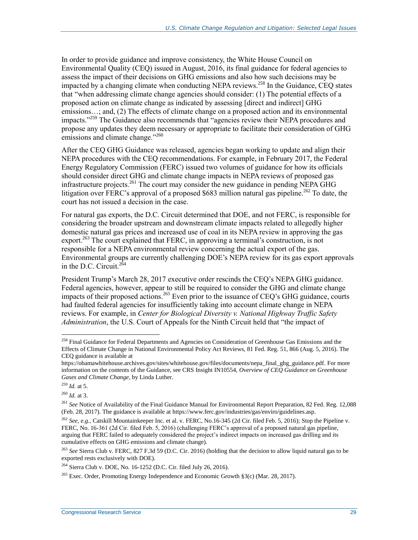In order to provide guidance and improve consistency, the White House Council on Environmental Quality (CEQ) issued in August, 2016, its final guidance for federal agencies to assess the impact of their decisions on GHG emissions and also how such decisions may be impacted by a changing climate when conducting NEPA reviews.<sup>258</sup> In the Guidance, CEQ states that "when addressing climate change agencies should consider: (1) The potential effects of a proposed action on climate change as indicated by assessing [direct and indirect] GHG emissions...; and, (2) The effects of climate change on a proposed action and its environmental impacts."<sup>259</sup> The Guidance also recommends that "agencies review their NEPA procedures and propose any updates they deem necessary or appropriate to facilitate their consideration of GHG emissions and climate change."<sup>260</sup>

After the CEQ GHG Guidance was released, agencies began working to update and align their NEPA procedures with the CEQ recommendations. For example, in February 2017, the Federal Energy Regulatory Commission (FERC) issued two volumes of guidance for how its officials should consider direct GHG and climate change impacts in NEPA reviews of proposed gas infrastructure projects. <sup>261</sup> The court may consider the new guidance in pending NEPA GHG litigation over FERC's approval of a proposed \$683 million natural gas pipeline.<sup>262</sup> To date, the court has not issued a decision in the case.

For natural gas exports, the D.C. Circuit determined that DOE, and not FERC, is responsible for considering the broader upstream and downstream climate impacts related to allegedly higher domestic natural gas prices and increased use of coal in its NEPA review in approving the gas export.<sup>263</sup> The court explained that FERC, in approving a terminal's construction, is not responsible for a NEPA environmental review concerning the actual export of the gas. Environmental groups are currently challenging DOE's NEPA review for its gas export approvals in the D.C. Circuit. $2^{64}$ 

President Trump's March 28, 2017 executive order rescinds the CEQ's NEPA GHG guidance. Federal agencies, however, appear to still be required to consider the GHG and climate change impacts of their proposed actions.<sup>265</sup> Even prior to the issuance of CEQ's GHG guidance, courts had faulted federal agencies for insufficiently taking into account climate change in NEPA reviews. For example, in *Center for Biological Diversity v. National Highway Traffic Safety Administration*, the U.S. Court of Appeals for the Ninth Circuit held that "the impact of

<sup>&</sup>lt;sup>258</sup> Final Guidance for Federal Departments and Agencies on Consideration of Greenhouse Gas Emissions and the Effects of Climate Change in National Environmental Policy Act Reviews, 81 Fed. Reg. 51, 866 (Aug. 5, 2016). The CEQ guidance is available at

https://obamawhitehouse.archives.gov/sites/whitehouse.gov/files/documents/nepa\_final\_ghg\_guidance.pdf. For more information on the contents of the Guidance, see CRS Insight IN10554, *Overview of CEQ Guidance on Greenhouse Gases and Climate Change*, by Linda Luther.

<sup>259</sup> *Id.* at 5.

<sup>260</sup> *Id.* at 3.

<sup>261</sup> *See* Notice of Availability of the Final Guidance Manual for Environmental Report Preparation, 82 Fed. Reg. 12,088 (Feb. 28, 2017). The guidance is available at https://www.ferc.gov/industries/gas/enviro/guidelines.asp.

<sup>262</sup> *See, e.g.*, Catskill Mountainkeeper Inc. et al. v. FERC, No.16-345 (2d Cir. filed Feb. 5, 2016); Stop the Pipeline v. FERC, No. 16-361 (2d Cir. filed Feb. 5, 2016) (challenging FERC's approval of a proposed natural gas pipeline, arguing that FERC failed to adequately considered the project's indirect impacts on increased gas drilling and its cumulative effects on GHG emissions and climate change).

<sup>263</sup> *See* Sierra Club v. FERC, 827 F.3d 59 (D.C. Cir. 2016) (holding that the decision to allow liquid natural gas to be exported rests exclusively with DOE).

<sup>264</sup> Sierra Club v. DOE, No. 16-1252 (D.C. Cir. filed July 26, 2016).

<sup>&</sup>lt;sup>265</sup> Exec. Order, Promoting Energy Independence and Economic Growth §3(c) (Mar. 28, 2017).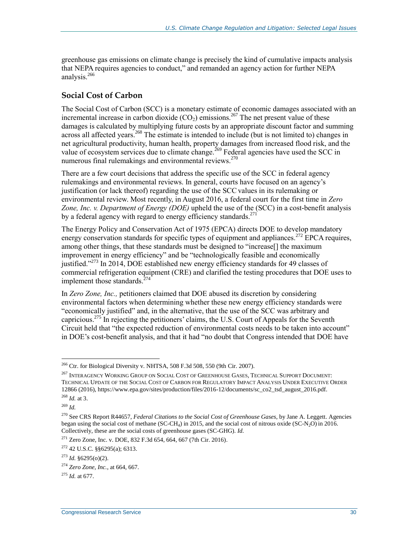greenhouse gas emissions on climate change is precisely the kind of cumulative impacts analysis that NEPA requires agencies to conduct," and remanded an agency action for further NEPA analysis.<sup>266</sup>

#### <span id="page-32-0"></span>**Social Cost of Carbon**

The Social Cost of Carbon (SCC) is a monetary estimate of economic damages associated with an incremental increase in carbon dioxide  $(CO_2)$  emissions.<sup>267</sup> The net present value of these damages is calculated by multiplying future costs by an appropriate discount factor and summing across all affected years.<sup>268</sup> The estimate is intended to include (but is not limited to) changes in net agricultural productivity, human health, property damages from increased flood risk, and the value of ecosystem services due to climate change.<sup>269</sup> Federal agencies have used the SCC in numerous [final rulemakings](http://www.gao.gov/assets/670/665016.pdf) and environmental reviews.<sup>270</sup>

There are a few court decisions that address the specific use of the SCC in federal agency rulemakings and environmental reviews. In general, courts have focused on an agency's justification (or lack thereof) regarding the use of the SCCvalues in its rulemaking or environmental review. Most recently, in August 2016, a federal court for the first time in *Zero Zone, Inc. v. Department of Energy (DOE)* upheld the use of the (SCC) in a cost-benefit analysis by a federal agency with regard to energy efficiency standards.<sup>271</sup>

The Energy Policy and Conservation Act of 1975 (EPCA) directs DOE to develop mandatory energy conservation standards for specific types of equipment and appliances.<sup>272</sup> EPCA requires, among other things, that these standards must be designed to "increase[] the maximum improvement in energy efficiency" and be "technologically feasible and economically justified."<sup>273</sup> In 2014, DOE established new energy efficiency standards for 49 classes of commercial refrigeration equipment (CRE) and clarified the testing procedures that DOE uses to implement those standards. $^{274}$ 

In *Zero Zone, Inc.,* petitioners claimed that DOE abused its discretion by considering environmental factors when determining whether these new energy efficiency standards were "economically justified" and, in the alternative, that the use of the SCC was arbitrary and capricious.<sup>275</sup> In rejecting the petitioners' claims, the U.S. Court of Appeals for the Seventh Circuit held that "the expected reduction of environmental costs needs to be taken into account" in DOE's cost-benefit analysis, and that it had "no doubt that Congress intended that DOE have

 $266$  Ctr. for Biological Diversity v. NHTSA, 508 F.3d 508, 550 (9th Cir. 2007).

<sup>&</sup>lt;sup>267</sup> INTERAGENCY WORKING GROUP ON SOCIAL COST OF GREENHOUSE GASES, TECHNICAL SUPPORT DOCUMENT: TECHNICAL UPDATE OF THE SOCIAL COST OF CARBON FOR REGULATORY IMPACT ANALYSIS UNDER EXECUTIVE ORDER 12866 (2016), https://www.epa.gov/sites/production/files/2016-12/documents/sc\_co2\_tsd\_august\_2016.pdf. <sup>268</sup> *Id.* at 3.

<sup>269</sup> *Id.*

<sup>270</sup> See CRS Report R44657, *Federal Citations to the Social Cost of Greenhouse Gases*, by Jane A. Leggett. Agencies began using the social cost of methane (SC-CH<sub>4</sub>) in 2015, and the social cost of nitrous oxide (SC-N<sub>2</sub>O) in 2016. Collectively, these are the social costs of greenhouse gases (SC-GHG). *Id.*

 $271$  Zero Zone, Inc. v. DOE, 832 F.3d 654, 664, 667 (7th Cir. 2016).

 $272$  42 U.S.C. §§6295(a); 6313.

 $^{273}$  *Id.* §6295(o)(2).

<sup>274</sup> *Zero Zone, Inc.*, at 664, 667.

<sup>275</sup> *Id.* at 677.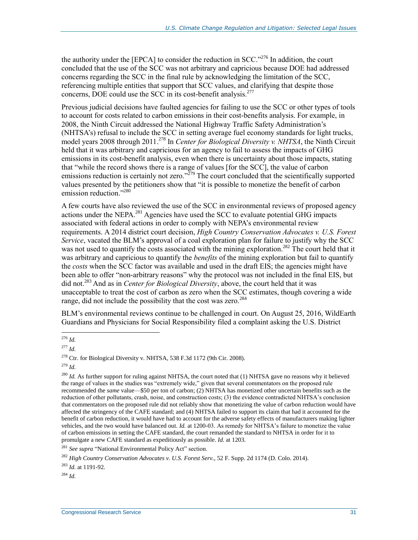the authority under the [EPCA] to consider the reduction in SCC."<sup>276</sup> In addition, the court concluded that the use of the SCC was not arbitrary and capricious because DOE had addressed concerns regarding the SCC in the final rule by acknowledging the limitation of the SCC, referencing multiple entities that support that SCC values, and clarifying that despite those concerns, DOE could use the SCC in its cost-benefit analysis.<sup>277</sup>

Previous judicial decisions have faulted agencies for failing to use the SCC or other types of tools to account for costs related to carbon emissions in their cost-benefits analysis. For example, in 2008, the Ninth Circuit addressed the National Highway Traffic Safety Administration's (NHTSA's) refusal to include the SCC in setting average fuel economy standards for light trucks, model years 2008 through 2011. <sup>278</sup> In *Center for Biological Diversity v. NHTSA*, the Ninth Circuit held that it was arbitrary and capricious for an agency to fail to assess the impacts of GHG emissions in its cost-benefit analysis, even when there is uncertainty about those impacts, stating that "while the record shows there is a range of values [for the SCC], the value of carbon emissions reduction is certainly not zero."<sup>279</sup> The court concluded that the scientifically supported values presented by the petitioners show that "it is possible to monetize the benefit of carbon emission reduction."<sup>280</sup>

A few courts have also reviewed the use of the SCC in environmental reviews of proposed agency actions under the NEPA. $^{281}$  Agencies have used the SCC to evaluate potential GHG impacts associated with federal actions in order to comply with NEPA's environmental review requirements. A 2014 district court decision, *[High Country Conservation Advocates v. U.S. Forest](http://earthjustice.org/sites/default/files/files/91%20-%20Order%20on%20Merits%20(2).pdf)  [Service](http://earthjustice.org/sites/default/files/files/91%20-%20Order%20on%20Merits%20(2).pdf)*, vacated the BLM's approval of a coal exploration plan for failure to justify why the SCC was not used to quantify the costs associated with the mining exploration.<sup>282</sup> The court held that it was arbitrary and capricious to quantify the *benefits* of the mining exploration but fail to quantify the *costs* when the SCC factor was available and used in the draft EIS; the agencies might have been able to offer "non-arbitrary reasons" why the protocol was not included in the final EIS, but did not.<sup>283</sup> And as in *Center for Biological Diversity*, above, the court held that it was unacceptable to treat the cost of carbon as zero when the SCC estimates, though covering a wide range, did not include the possibility that the cost was zero.<sup>284</sup>

BLM's environmental reviews continue to be challenged in court. On August 25, 2016, WildEarth Guardians and Physicians for Social Responsibility filed a complaint asking the U.S. District

 $\overline{a}$ 

<sup>279</sup> *Id.*

<sup>284</sup> *Id.*

<sup>276</sup> *Id.*

<sup>277</sup> *Id.*

 $278$  Ctr. for Biological Diversity v. NHTSA, 538 F.3d 1172 (9th Cir. 2008).

<sup>&</sup>lt;sup>280</sup> *Id.* As further support for ruling against NHTSA, the court noted that (1) NHTSA gave no reasons why it believed the range of values in the studies was "extremely wide," given that several commentators on the proposed rule recommended the *same* value—\$50 per ton of carbon; (2) NHTSA has monetized other uncertain benefits such as the reduction of other pollutants, crash, noise, and construction costs; (3) the evidence contradicted NHTSA's conclusion that commentators on the proposed rule did not reliably show that monetizing the value of carbon reduction would have affected the stringency of the CAFE standard; and (4) NHTSA failed to support its claim that had it accounted for the benefit of carbon reduction, it would have had to account for the adverse safety effects of manufacturers making lighter vehicles, and the two would have balanced out. *Id.* at 1200-03. As remedy for NHTSA's failure to monetize the value of carbon emissions in setting the CAFE standard, the court remanded the standard to NHTSA in order for it to promulgate a new CAFE standard as expeditiously as possible. *Id.* at 1203.

<sup>281</sup> *See supra* ["National Environmental Policy Act"](#page-30-0) section.

<sup>282</sup> *High Country Conservation Advocates v. U.S. Forest Serv.*, 52 F. Supp. 2d 1174 (D. Colo. 2014).

<sup>283</sup> *Id.* at 1191-92.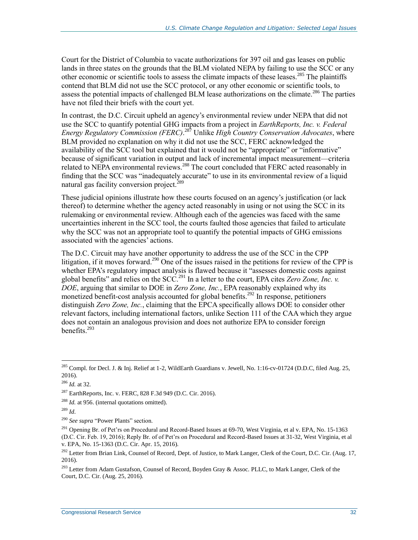Court for the District of Columbia to vacate authorizations for 397 oil and gas leases on public lands in three states on the grounds that the BLM violated NEPA by failing to use the SCC or any other economic or scientific tools to assess the climate impacts of these leases.<sup>285</sup> The plaintiffs contend that BLM did not use the SCC protocol, or any other economic or scientific tools, to assess the potential impacts of challenged BLM lease authorizations on the climate.<sup>286</sup> The parties have not filed their briefs with the court yet.

In contrast, the D.C. Circuit upheld an agency's environmental review under NEPA that did not use the SCC to quantify potential GHG impacts from a project in *[EarthReports, Inc. v.](https://www.cadc.uscourts.gov/internet/opinions.nsf/F6D0EA77728EE24F85257FF100520203/$file/15-1127-1624926.pdf) Federal [Energy Regulatory Commission](https://www.cadc.uscourts.gov/internet/opinions.nsf/F6D0EA77728EE24F85257FF100520203/$file/15-1127-1624926.pdf) (FERC)*. <sup>287</sup> Unlike *High Country Conservation Advocates*, where BLM provided no explanation on why it did not use the SCC, FERC acknowledged the availability of the SCC tool but explained that it would not be "appropriate" or "informative" because of significant variation in output and lack of incremental impact measurement—criteria related to NEPA environmental reviews.<sup>288</sup> The court concluded that FERC acted reasonably in finding that the SCC was "inadequately accurate" to use in its environmental review of a liquid natural gas facility conversion project.<sup>289</sup>

These judicial opinions illustrate how these courts focused on an agency's justification (or lack thereof) to determine whether the agency acted reasonably in using or not using the SCC in its rulemaking or environmental review. Although each of the agencies was faced with the same uncertainties inherent in the SCC tool, the courts faulted those agencies that failed to articulate why the SCC was not an appropriate tool to quantify the potential impacts of GHG emissions associated with the agencies' actions.

The D.C. Circuit may have another opportunity to address the use of the SCC in the CPP litigation, if it moves forward.<sup>290</sup> One of the issues raised in the petitions for review of the CPP is whether EPA's regulatory impact analysis is flawed because it "assesses domestic costs against global benefits" and relies on the SCC.<sup>291</sup> In a letter to the court, EPA cites *Zero Zone, Inc. v. DOE*, arguing that similar to DOE in *Zero Zone, Inc.*, EPA reasonably explained why its monetized benefit-cost analysis accounted for global benefits.<sup>292</sup> In response, petitioners distinguish *Zero Zone, Inc.*, claiming that the EPCA specifically allows DOE to consider other relevant factors, including international factors, unlike Section 111 of the CAA which they argue does not contain an analogous provision and does not authorize EPA to consider foreign benefits.<sup>293</sup>

<sup>289</sup> *Id*.

<sup>285</sup> Compl. for Decl. J. & Inj. Relief at 1-2, WildEarth Guardians v. Jewell*,* No. 1:16-cv-01724 (D.D.C, filed Aug. 25, 2016).

<sup>286</sup> *Id.* at 32.

 $^{287}$  EarthReports, Inc. v. FERC, 828 F.3d 949 (D.C. Cir. 2016).

<sup>&</sup>lt;sup>288</sup> *Id.* at 956. (internal quotations omitted).

<sup>290</sup> *See supra* ["Power Plants"](#page-15-0) section.

<sup>&</sup>lt;sup>291</sup> Opening Br. of Pet'rs on Procedural and Record-Based Issues at 69-70, West Virginia, et al v. EPA, No. 15-1363 (D.C. Cir. Feb. 19, 2016); Reply Br. of of Pet'rs on Procedural and Record-Based Issues at 31-32, West Virginia, et al v. EPA, No. 15-1363 (D.C. Cir. Apr. 15, 2016).

<sup>&</sup>lt;sup>292</sup> Letter from Brian Link, Counsel of Record, Dept. of Justice, to Mark Langer, Clerk of the Court, D.C. Cir. (Aug. 17, 2016).

<sup>&</sup>lt;sup>293</sup> Letter from Adam Gustafson, Counsel of Record, Boyden Gray & Assoc. PLLC, to Mark Langer, Clerk of the Court, D.C. Cir. (Aug. 25, 2016).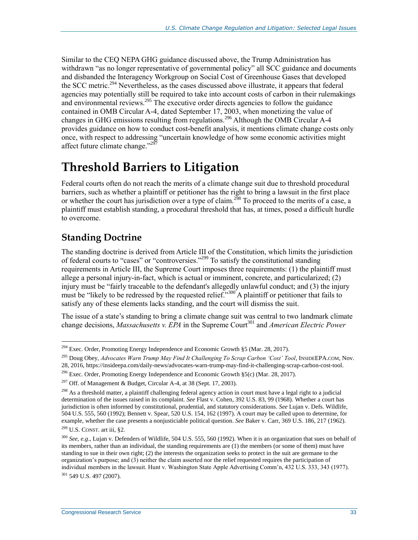Similar to the CEQ NEPA GHG guidance discussed above, the Trump Administration has withdrawn "as no longer representative of governmental policy" all SCC guidance and documents and disbanded the Interagency Workgroup on Social Cost of Greenhouse Gases that developed the SCC metric.<sup>294</sup> Nevertheless, as the cases discussed above illustrate, it appears that federal agencies may potentially still be required to take into account costs of carbon in their rulemakings and environmental reviews. <sup>295</sup> The executive order directs agencies to follow the guidance contained in OMB Circular A-4, dated September 17, 2003, when monetizing the value of changes in GHG emissions resulting from regulations.<sup>296</sup> Although the OMB Circular A-4 provides guidance on how to conduct cost-benefit analysis, it mentions climate change costs only once, with respect to addressing "uncertain knowledge of how some economic activities might affect future climate change."<sup>297</sup>

## **Threshold Barriers to Litigation**

Federal courts often do not reach the merits of a climate change suit due to threshold procedural barriers, such as whether a plaintiff or petitioner has the right to bring a lawsuit in the first place or whether the court has jurisdiction over a type of claim.<sup>298</sup> To proceed to the merits of a case, a plaintiff must establish standing, a procedural threshold that has, at times, posed a difficult hurdle to overcome.

### <span id="page-35-0"></span>**Standing Doctrine**

 $\overline{a}$ 

The standing doctrine is derived from Article III of the Constitution, which limits the jurisdiction of federal courts to "cases" or "controversies."<sup>299</sup> To satisfy the constitutional standing requirements in Article III, the Supreme Court imposes three requirements: (1) the plaintiff must allege a personal injury-in-fact, which is actual or imminent, concrete, and particularized; (2) injury must be "fairly traceable to the defendant's allegedly unlawful conduct; and (3) the injury must be "likely to be redressed by the requested relief."<sup>300</sup> A plaintiff or petitioner that fails to satisfy any of these elements lacks standing, and the court will dismiss the suit.

The issue of a state's standing to bring a climate change suit was central to two landmark climate change decisions, *Massachusetts v. EPA* in the Supreme Court<sup>301</sup> and *American Electric Power* 

 $^{294}$  Exec. Order, Promoting Energy Independence and Economic Growth §5 (Mar. 28, 2017).

<sup>295</sup> Doug Obey, *Advocates Warn Trump May Find It Challenging To Scrap Carbon 'Cost' Tool*, INSIDEEPA.COM, Nov. 28, 2016, https://insideepa.com/daily-news/advocates-warn-trump-may-find-it-challenging-scrap-carbon-cost-tool.

<sup>&</sup>lt;sup>296</sup> Exec. Order, Promoting Energy Independence and Economic Growth  $\S5(c)$  (Mar. 28, 2017).

<sup>&</sup>lt;sup>297</sup> Off. of Management & Budget, Circular A-4, at 38 (Sept. 17, 2003).

<sup>&</sup>lt;sup>298</sup> As a threshold matter, a plaintiff challenging federal agency action in court must have a legal right to a judicial determination of the issues raised in its complaint. *See* Flast v. Cohen, 392 U.S. 83, 99 (1968). Whether a court has jurisdiction is often informed by constitutional, prudential, and statutory considerations. *See* Lujan v. Defs. Wildlife, 504 U.S. 555, 560 (1992); Bennett v. Spear, 520 U.S. 154, 162 (1997). A court may be called upon to determine, for example, whether the case presents a nonjusticiable political question. *See* Baker v. Carr, 369 U.S. 186, 217 (1962).  $299$  U.S. CONST. art iii, §2.

<sup>300</sup> *See, e.g*., Lujan v. Defenders of Wildlife, 504 U.S. 555, 560 (1992). When it is an organization that sues on behalf of its members, rather than an individual, the standing requirements are (1) the members (or some of them) must have standing to sue in their own right; (2) the interests the organization seeks to protect in the suit are germane to the organization's purpose; and (3) neither the claim asserted nor the relief requested requires the participation of individual members in the lawsuit. Hunt v. Washington State Apple Advertising Comm'n, 432 U.S. 333, 343 (1977). <sup>301</sup> 549 U.S. 497 (2007).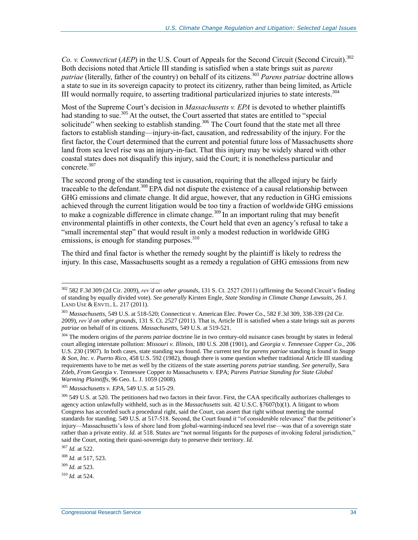*Co. v. Connecticut* (*AEP*) in the U.S. Court of Appeals for the Second Circuit (Second Circuit). 302 Both decisions noted that Article III standing is satisfied when a state brings suit as *parens patriae* (literally, father of the country) on behalf of its citizens.<sup>303</sup> *Parens patriae* doctrine allows a state to sue in its sovereign capacity to protect its citizenry, rather than being limited, as Article III would normally require, to asserting traditional particularized injuries to state interests.<sup>304</sup>

Most of the Supreme Court's decision in *Massachusetts v. EPA* is devoted to whether plaintiffs had standing to sue.<sup>305</sup> At the outset, the Court asserted that states are entitled to "special solicitude" when seeking to establish standing.<sup>306</sup> The Court found that the state met all three factors to establish standing—injury-in-fact, causation, and redressability of the injury. For the first factor, the Court determined that the current and potential future loss of Massachusetts shore land from sea level rise was an injury-in-fact. That this injury may be widely shared with other coastal states does not disqualify this injury, said the Court; it is nonetheless particular and concrete.<sup>307</sup>

The second prong of the standing test is causation, requiring that the alleged injury be fairly traceable to the defendant.<sup>308</sup> EPA did not dispute the existence of a causal relationship between GHG emissions and climate change. It did argue, however, that any reduction in GHG emissions achieved through the current litigation would be too tiny a fraction of worldwide GHG emissions to make a cognizable difference in climate change.<sup>309</sup> In an important ruling that may benefit environmental plaintiffs in other contexts, the Court held that even an agency's refusal to take a "small incremental step" that would result in only a modest reduction in worldwide GHG emissions, is enough for standing purposes. $310$ 

The third and final factor is whether the remedy sought by the plaintiff is likely to redress the injury. In this case, Massachusetts sought as a remedy a regulation of GHG emissions from new

<sup>302</sup> 582 F.3d 309 (2d Cir. 2009), *rev'd on other grounds*, 131 S. Ct. 2527 (2011) (affirming the Second Circuit's finding of standing by equally divided vote). *See generally* Kirsten Engle, *State Standing in Climate Change Lawsuits*, 26 J. LAND USE & ENVTL. L. 217 (2011).

<sup>303</sup> *Massachusetts*, 549 U.S. at 518-520; Connecticut v. American Elec. Power Co., 582 F.3d 309, 338-339 (2d Cir. 2009), *rev'd on other grounds,* 131 S. Ct. 2527 (2011). That is, Article III is satisfied when a state brings suit as *parens patriae* on behalf of its citizens. *Massachusetts*, 549 U.S. at 519-521.

<sup>&</sup>lt;sup>304</sup> The modern origins of the *parens patriae* doctrine lie in two century-old nuisance cases brought by states in federal court alleging interstate pollution: *Missouri v. Illinois*, 180 U.S. 208 (1901), and *Georgia v. Tennessee Copper Co*., 206 U.S. 230 (1907). In both cases, state standing was found. The current test for *parens patriae* standing is found in *Snapp & Son, Inc. v. Puerto Rico*, 458 U.S. 592 (1982), though there is some question whether traditional Article III standing requirements have to be met as well by the citizens of the state asserting *parens patriae* standing. *See generally*, Sara Zdeb, *From* Georgia v. Tennessee Copper *to* Massachusetts v. EPA; *Parens Patriae Standing for State Global Warming Plaintiffs*, 96 Geo. L. J. 1059 (2008).

<sup>305</sup> *Massachusetts v. EPA*, 549 U.S. at 515-29.

<sup>&</sup>lt;sup>306</sup> 549 U.S. at 520. The petitioners had two factors in their favor. First, the CAA specifically authorizes challenges to agency action unlawfully withheld, such as in the *Massachusetts* suit. 42 U.S.C. §7607(b)(1). A litigant to whom Congress has accorded such a procedural right, said the Court, can assert that right without meeting the normal standards for standing. 549 U.S*.* at 517-518. Second, the Court found it "of considerable relevance" that the petitioner's injury—Massachusetts's loss of shore land from global-warming-induced sea level rise—was that of a sovereign state rather than a private entity. *Id.* at 518. States are "not normal litigants for the purposes of invoking federal jurisdiction," said the Court, noting their quasi-sovereign duty to preserve their territory. *Id.*

<sup>307</sup> *Id.* at 522.

<sup>308</sup> *Id.* at 517, 523.

<sup>309</sup> *Id.* at 523.

<sup>310</sup> *Id.* at 524.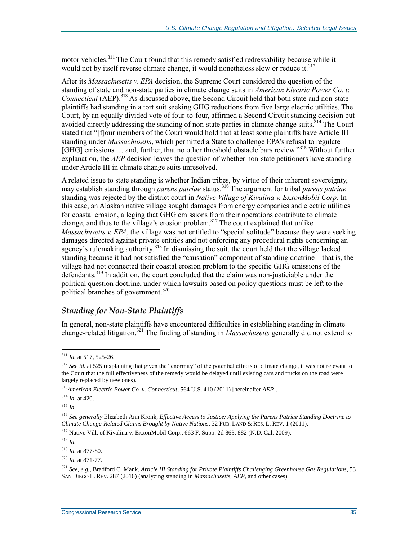motor vehicles.<sup>311</sup> The Court found that this remedy satisfied redressability because while it would not by itself reverse climate change, it would nonetheless slow or reduce it.<sup>312</sup>

After its *Massachusetts v. EPA* decision, the Supreme Court considered the question of the standing of state and non-state parties in climate change suits in *American Electric Power Co. v. Connecticut* (AEP).<sup>313</sup> As discussed above, the Second Circuit held that both state and non-state plaintiffs had standing in a tort suit seeking GHG reductions from five large electric utilities. The Court, by an equally divided vote of four-to-four, affirmed a Second Circuit standing decision but avoided directly addressing the standing of non-state parties in climate change suits.<sup>314</sup> The Court stated that "[flour members of the Court would hold that at least some plaintiffs have Article III standing under *Massachusetts*, which permitted a State to challenge EPA's refusal to regulate [GHG] emissions ... and, further, that no other threshold obstacle bars review."<sup>315</sup> Without further explanation, the *AEP* decision leaves the question of whether non-state petitioners have standing under Article III in climate change suits unresolved.

A related issue to state standing is whether Indian tribes, by virtue of their inherent sovereignty, may establish standing through *parens patriae* status.<sup>316</sup> The argument for tribal *parens patriae* standing was rejected by the district court in *Native Village of Kivalina v. ExxonMobil Corp*. In this case, an Alaskan native village sought damages from energy companies and electric utilities for coastal erosion, alleging that GHG emissions from their operations contribute to climate change, and thus to the village's erosion problem. <sup>317</sup> The court explained that unlike *Massachusetts v. EPA*, the village was not entitled to "special solitude" because they were seeking damages directed against private entities and not enforcing any procedural rights concerning an agency's rulemaking authority.<sup>318</sup> In dismissing the suit, the court held that the village lacked standing because it had not satisfied the "causation" component of standing doctrine—that is, the village had not connected their coastal erosion problem to the specific GHG emissions of the defendants.<sup>319</sup> In addition, the court concluded that the claim was non-justiciable under the political question doctrine, under which lawsuits based on policy questions must be left to the political branches of government.<sup>320</sup>

#### *Standing for Non-State Plaintiffs*

In general, non-state plaintiffs have encountered difficulties in establishing standing in climate change-related litigation.<sup>321</sup> The finding of standing in *Massachusetts* generally did not extend to

<sup>315</sup> *Id.*

 $\overline{a}$ 

<sup>318</sup> *Id.*

<sup>311</sup> *Id.* at 517, 525-26.

<sup>&</sup>lt;sup>312</sup> *See id.* at 525 (explaining that given the "enormity" of the potential effects of climate change, it was not relevant to the Court that the full effectiveness of the remedy would be delayed until existing cars and trucks on the road were largely replaced by new ones).

<sup>313</sup>*American Electric Power Co. v. Connecticut,* 564 U.S. 410 (2011) [hereinafter *AEP*].

<sup>314</sup> *Id.* at 420.

<sup>316</sup> *See generally* Elizabeth Ann Kronk*, Effective Access to Justice: Applying the Parens Patriae Standing Doctrine to Climate Change-Related Claims Brought by Native Nations*, 32 PUB. LAND & RES. L. REV. 1 (2011).

<sup>317</sup> Native Vill. of Kivalina v. ExxonMobil Corp., 663 F. Supp. 2d 863, 882 (N.D. Cal. 2009).

<sup>319</sup> *Id.* at 877-80.

<sup>320</sup> *Id.* at 871-77.

<sup>321</sup> *See, e.g.*, Bradford C. Mank, *Article III Standing for Private Plaintiffs Challenging Greenhouse Gas Regulations,* 53 SAN DIEGO L. REV. 287 (2016) (analyzing standing in *Massachusetts*, *AEP*, and other cases).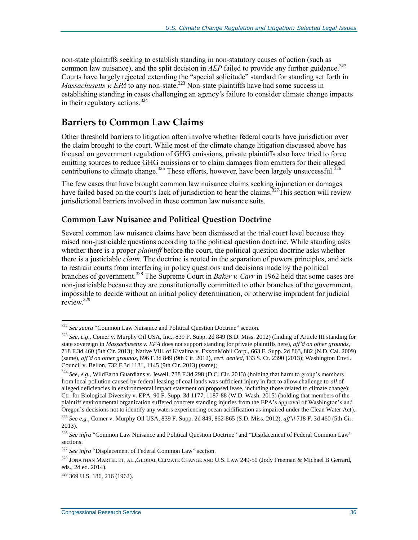non-state plaintiffs seeking to establish standing in non-statutory causes of action (such as common law nuisance), and the split decision in *AEP* failed to provide any further guidance.<sup>322</sup> Courts have largely rejected extending the "special solicitude" standard for standing set forth in *Massachusetts v. EPA* to any non-state.<sup>323</sup> Non-state plaintiffs have had some success in establishing standing in cases challenging an agency's failure to consider climate change impacts in their regulatory actions.<sup>324</sup>

### **Barriers to Common Law Claims**

Other threshold barriers to litigation often involve whether federal courts have jurisdiction over the claim brought to the court. While most of the climate change litigation discussed above has focused on government regulation of GHG emissions, private plaintiffs also have tried to force emitting sources to reduce GHG emissions or to claim damages from emitters for their alleged contributions to climate change.<sup>325</sup> These efforts, however, have been largely unsuccessful.<sup>326</sup>

The few cases that have brought common law nuisance claims seeking injunction or damages have failed based on the court's lack of jurisdiction to hear the claims.<sup>327</sup>This section will review jurisdictional barriers involved in these common law nuisance suits.

#### <span id="page-38-0"></span>**Common Law Nuisance and Political Question Doctrine**

Several common law nuisance claims have been dismissed at the trial court level because they raised non-justiciable questions according to the political question doctrine. While standing asks whether there is a proper *plaintiff* before the court, the political question doctrine asks whether there is a justiciable *claim*. The doctrine is rooted in the separation of powers principles, and acts to restrain courts from interfering in policy questions and decisions made by the political branches of government.<sup>328</sup> The Supreme Court in *Baker v. Carr* in 1962 held that some cases are non-justiciable because they are constitutionally committed to other branches of the government, impossible to decide without an initial policy determination, or otherwise imprudent for judicial review.<sup>329</sup>

<sup>&</sup>lt;sup>322</sup> See supra ["Common Law Nuisance and Political Question Doctrine"](#page-38-0) section.

<sup>323</sup> *See, e.g*., Comer v. Murphy Oil USA, Inc., 839 F. Supp. 2d 849 (S.D. Miss. 2012) (finding of Article III standing for state sovereign in *Massachusetts v. EPA* does not support standing for private plaintiffs here), *aff'd on other grounds*, 718 F.3d 460 (5th Cir. 2013); Native Vill. of Kivalina v. ExxonMobil Corp., 663 F. Supp. 2d 863, 882 (N.D. Cal. 2009) (same)*, aff'd on other grounds*, 696 F.3d 849 (9th Cir. 2012), *cert. denied*, 133 S. Ct. 2390 (2013); Washington Envtl. Council v. Bellon, 732 F.3d 1131, 1145 (9th Cir. 2013) (same);

<sup>324</sup> *See, e.g.,* WildEarth Guardians v. Jewell, 738 F.3d 298 (D.C. Cir. 2013) (holding that harm to group's members from local pollution caused by federal leasing of coal lands was sufficient injury in fact to allow challenge to *all* of alleged deficiencies in environmental impact statement on proposed lease, including those related to climate change); Ctr. for Biological Diversity v. EPA, 90 F. Supp. 3d 1177, 1187-88 (W.D. Wash. 2015) (holding that members of the plaintiff environmental organization suffered concrete standing injuries from the EPA's approval of Washington's and Oregon's decisions not to identify any waters experiencing ocean acidification as impaired under the Clean Water Act).

<sup>325</sup> *See e.g.*, Comer v. Murphy Oil USA, 839 F. Supp. 2d 849, 862-865 (S.D. Miss. 2012), *aff'd* 718 F. 3d 460 (5th Cir. 2013).

<sup>&</sup>lt;sup>326</sup> See infra ["Common Law Nuisance and Political Question Doctrine"](#page-38-0) and ["Displacement of Federal Common Law"](#page-39-0) sections.

<sup>&</sup>lt;sup>327</sup> See infra ["Displacement of Federal Common Law"](#page-39-0) section.

<sup>&</sup>lt;sup>328</sup> JONATHAN MARTEL ET. AL.,GLOBAL CLIMATE CHANGE AND U.S. LAW 249-50 (Jody Freeman & Michael B Gerrard, eds., 2d ed. 2014).

 $329$  369 U.S. 186, 216 (1962).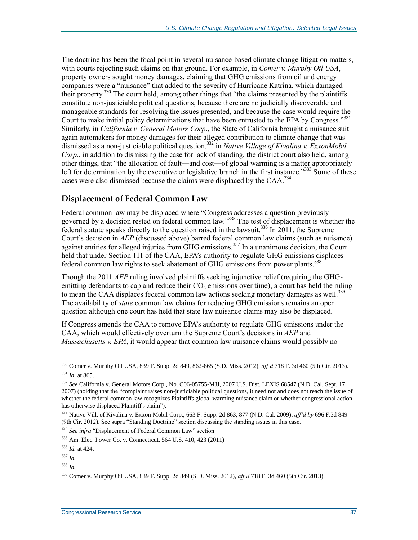The doctrine has been the focal point in several nuisance-based climate change litigation matters, with courts rejecting such claims on that ground. For example, in *Comer v. Murphy Oil USA*, property owners sought money damages, claiming that GHG emissions from oil and energy companies were a "nuisance" that added to the severity of Hurricane Katrina, which damaged their property.<sup>330</sup> The court held, among other things that "the claims presented by the plaintiffs constitute non-justiciable political questions, because there are no judicially discoverable and manageable standards for resolving the issues presented, and because the case would require the Court to make initial policy determinations that have been entrusted to the EPA by Congress."<sup>331</sup> Similarly, in *California v. General Motors Corp*., the State of California brought a nuisance suit again automakers for money damages for their alleged contribution to climate change that was dismissed as a non-justiciable political question.<sup>332</sup> in *Native Village of Kivalina v. ExxonMobil Corp*., in addition to dismissing the case for lack of standing, the district court also held, among other things, that "the allocation of fault—and cost—of global warming is a matter appropriately left for determination by the executive or legislative branch in the first instance."<sup>333</sup> Some of these cases were also dismissed because the claims were displaced by the CAA.<sup>334</sup>

#### <span id="page-39-0"></span>**Displacement of Federal Common Law**

Federal common law may be displaced where "Congress addresses a question previously governed by a decision rested on federal common law."<sup>335</sup> The test of displacement is whether the federal statute speaks directly to the question raised in the lawsuit.<sup>336</sup> In  $2011$ , the Supreme Court's decision in *AEP* (discussed above) barred federal common law claims (such as nuisance) against entities for alleged injuries from GHG emissions.<sup>337</sup> In a unanimous decision, the Court held that under Section 111 of the CAA, EPA's authority to regulate GHG emissions displaces federal common law rights to seek abatement of GHG emissions from power plants.<sup>338</sup>

Though the 2011 *AEP* ruling involved plaintiffs seeking injunctive relief (requiring the GHGemitting defendants to cap and reduce their  $CO<sub>2</sub>$  emissions over time), a court has held the ruling to mean the CAA displaces federal common law actions seeking monetary damages as well.<sup>339</sup> The availability of *state* common law claims for reducing GHG emissions remains an open question although one court has held that state law nuisance claims may also be displaced.

If Congress amends the CAA to remove EPA's authority to regulate GHG emissions under the CAA, which would effectively overturn the Supreme Court's decisions in *AEP* and *Massachusetts v. EPA*, it would appear that common law nuisance claims would possibly no

<sup>330</sup> Comer v. Murphy Oil USA, 839 F. Supp. 2d 849, 862-865 (S.D. Miss. 2012), *aff'd* 718 F. 3d 460 (5th Cir. 2013). <sup>331</sup> *Id.* at 865.

<sup>332</sup> *See* California v. General Motors Corp., No. C06-05755-MJJ, 2007 U.S. Dist. LEXIS 68547 (N.D. Cal. Sept. 17, 2007) (holding that the "complaint raises non-justiciable political questions, it need not and does not reach the issue of whether the federal common law recognizes Plaintiffs global warming nuisance claim or whether congressional action has otherwise displaced Plaintiff's claim").

<sup>333</sup> Native Vill. of Kivalina v. Exxon Mobil Corp., 663 F. Supp. 2d 863, 877 (N.D. Cal. 2009), *aff'd by* 696 F.3d 849 (9th Cir. 2012). See supra ["Standing Doctrine"](#page-35-0) section discussing the standing issues in this case.

<sup>&</sup>lt;sup>334</sup> *See infra* ["Displacement of Federal Common Law"](#page-39-0) section.

<sup>335</sup> Am. Elec. Power Co. v. Connecticut, 564 U.S. 410, 423 (2011)

<sup>336</sup> *Id.* at 424.

<sup>337</sup> *Id.*

<sup>338</sup> *Id.*

<sup>339</sup> Comer v. Murphy Oil USA, 839 F. Supp. 2d 849 (S.D. Miss. 2012), *aff'd* 718 F. 3d 460 (5th Cir. 2013).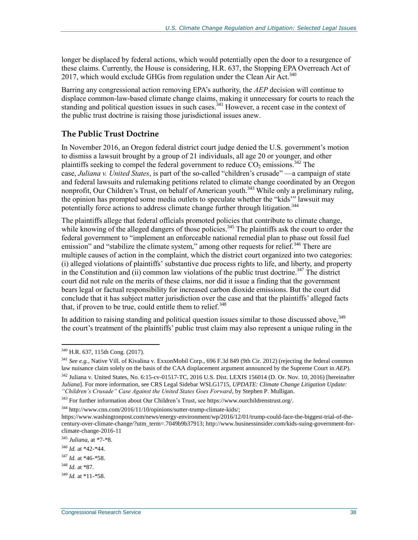longer be displaced by federal actions, which would potentially open the door to a resurgence of these claims. Currently, the House is considering, H.R. 637, the Stopping EPA Overreach Act of 2017, which would exclude GHGs from regulation under the Clean Air Act.<sup>340</sup>

Barring any congressional action removing EPA's authority, the *AEP* decision will continue to displace common-law-based climate change claims, making it unnecessary for courts to reach the standing and political question issues in such cases.<sup>341</sup> However, a recent case in the context of the public trust doctrine is raising those jurisdictional issues anew.

#### **The Public Trust Doctrine**

<span id="page-40-0"></span>In November 2016, an Oregon federal district court judge denied the U.S. government's [motion](https://static1.squarespace.com/static/571d109b04426270152febe0/t/576195bd2fe1316f09d2ef81/1466013119008/15.11.17.Fed+MTD+Memo.pdf)  [to dismiss](https://static1.squarespace.com/static/571d109b04426270152febe0/t/576195bd2fe1316f09d2ef81/1466013119008/15.11.17.Fed+MTD+Memo.pdf) a lawsuit brought by a group of 21 individuals, all age 20 or younger, and other plaintiffs seeking to compel the federal government to reduce  $CO<sub>2</sub>$  emissions.<sup>342</sup> The case, *Juliana v. United States*, is part of the so-called ["children's crusade"](http://www.wsj.com/articles/SB10001424052748703509104576329594159554266) —a campaign of state and federal lawsuits and rulemaking petitions related to climate change coordinated by an Oregon nonprofit, Our Children's Trust, on behalf of American youth.<sup>343</sup> While only a preliminary ruling, the opinion has prompted some [media](http://www.cnn.com/2016/11/10/opinions/sutter-trump-climate-kids/) outlets to [speculate](https://www.washingtonpost.com/news/energy-environment/wp/2016/12/01/trump-could-face-the-biggest-trial-of-the-century-over-climate-change/?utm_term=.7049b9b37913) whether the "kids'" lawsuit may potentially force actions to address climate change further through litigation.<sup>344</sup>

The plaintiffs allege that federal officials promoted policies that contribute to climate change, while knowing of the alleged dangers of those policies.<sup>345</sup> The [plaintiffs](https://www.ourchildrenstrust.org/meet-the-youth-plaintiffs) ask the court to order the federal government to "implement an enforceable national remedial plan to phase out fossil fuel emission" and "stabilize the climate system," among other requests for relief.<sup>346</sup> There are multiple causes of action in the complaint, which the district court organized into two categories: (i) alleged violations of plaintiffs' [substantive due process rights](https://www.congress.gov/content/conan/pdf/GPO-CONAN-REV-2016-10-6.pdf) to life, and liberty, and property in the Constitution and  $(i)$  common law violations of the public trust doctrine.<sup>347</sup> The district court did not rule on the merits of these claims, nor did it issue a finding that the government bears legal or factual responsibility for increased carbon dioxide emissions. But the court did conclude that it has subject matter jurisdiction over the case and that the plaintiffs' alleged facts that, if proven to be true, could entitle them to relief.<sup>348</sup>

In addition to raising standing and political question issues similar to those discussed above,  $349$ the court's treatment of the plaintiffs' public trust claim may also represent a unique ruling in the

<sup>344</sup> http://www.cnn.com/2016/11/10/opinions/sutter-trump-climate-kids/;

 $\overline{a}$ <sup>340</sup> H.R. 637, 115th Cong. (2017).

 $341$  *See e.g.*, Native Vill. of Kivalina v. ExxonMobil Corp., 696 F.3d 849 (9th Cir. 2012) (rejecting the federal common law nuisance claim solely on the basis of the CAA displacement argument announced by the Supreme Court in *AEP*).

<sup>342</sup> Juliana v. United States, No. 6:15-cv-01517-TC, 2016 U.S. Dist. LEXIS 156014 (D. Or. Nov. 10, 2016) [hereinafter *Juliana*]. For more information, see CRS Legal Sidebar WSLG1715, *UPDATE: Climate Change Litigation Update: "Children's Crusade" Case Against the United States Goes Forward*, by Stephen P. Mulligan.

<sup>343</sup> For further information about Our Children's Trust, see https://www.ourchildrenstrust.org/.

https://www.washingtonpost.com/news/energy-environment/wp/2016/12/01/trump-could-face-the-biggest-trial-of-thecentury-over-climate-change/?utm\_term=.7049b9b37913; http://www.businessinsider.com/kids-suing-government-forclimate-change-2016-11

<sup>345</sup> *Juliana*, at \*7-\*8.

<sup>346</sup> *Id.* at \*42-\*44.

<sup>347</sup> *Id.* at \*46-\*58.

<sup>348</sup> *Id.* at \*87.

<sup>349</sup> *Id.* at \*11-\*58.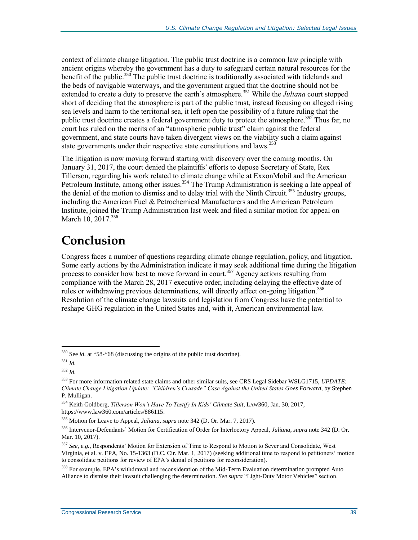context of climate change litigation. The public trust doctrine is a common law principle [with](http://droitromain.upmf-grenoble.fr/Anglica/just2_Moyle.htm)  [ancient origins](http://droitromain.upmf-grenoble.fr/Anglica/just2_Moyle.htm) whereby the government has a duty to safeguard certain natural resources for the benefit of the public.<sup>350</sup> The public trust doctrine is traditionally associated with tidelands and the [beds of navigable waterways,](https://supreme.justia.com/cases/federal/us/146/387/case.html) and the government argued that the doctrine should not be extended to create a duty to preserve the earth's atmosphere.<sup>351</sup> While the *Juliana* court stopped short of deciding that the atmosphere is part of the public trust, instead focusing on alleged rising sea levels and harm to the territorial sea, it left open the possibility of a future ruling that the public trust doctrine creates a federal government duty to protect the atmosphere.<sup>352</sup> Thus far, no court has ruled on the merits of an "atmospheric public trust" claim against the federal government, and state [courts](http://www.leagle.com/decision/In%20MNCO%2020121001199/ARONOW%20v.%20STATE) have [taken](https://static1.squarespace.com/static/571d109b04426270152febe0/t/576814cac534a5de4e069ecb/1466438860847/Opinion_NM+ATL+Appeal.pdf) divergent [views](http://www.courts.wa.gov/opinions/pdf/697102.pdf) on the viability such a claim against state governments under their respective state constitutions and laws.<sup>353</sup>

The litigation is now moving forward starting with discovery over the coming months. On January 31, 2017, the court denied the plaintiffs' efforts to depose Secretary of State, Rex Tillerson, regarding his work related to climate change while at ExxonMobil and the American Petroleum Institute, among other issues.<sup>354</sup> The Trump Administration is seeking a late appeal of the denial of the motion to dismiss and to delay trial with the Ninth Circuit.<sup>355</sup> Industry groups, including the American Fuel & Petrochemical Manufacturers and the American Petroleum Institute, joined the Trump Administration last week and filed a similar motion for appeal on March 10, 2017.<sup>356</sup>

## **Conclusion**

Congress faces a number of questions regarding climate change regulation, policy, and litigation. Some early actions by the Administration indicate it may seek additional time during the litigation process to consider how best to move forward in court.<sup>357</sup> Agency actions resulting from compliance with the March 28, 2017 executive order, including delaying the effective date of rules or withdrawing previous determinations, will directly affect on-going litigation.<sup>358</sup> Resolution of the climate change lawsuits and legislation from Congress have the potential to reshape GHG regulation in the United States and, with it, American environmental law.

<sup>&</sup>lt;sup>350</sup> See *id.* at \*58-\*68 (discussing the origins of the public trust doctrine).

<sup>351</sup> *Id.*

<sup>352</sup> *Id.*

<sup>353</sup> For more information related state claims and other similar suits, see CRS Legal Sidebar WSLG1715, *UPDATE: Climate Change Litigation Update: "Children's Crusade" Case Against the United States Goes Forward*, by Stephen P. Mulligan.

<sup>354</sup> Keith Goldberg, *Tillerson Won't Have To Testify In Kids' Climate Suit*, LAW360, Jan. 30, 2017, https://www.law360.com/articles/886115.

<sup>355</sup> Motion for Leave to Appeal, *Juliana*, *supra* not[e 342](#page-40-0) (D. Or. Mar. 7, 2017).

<sup>356</sup> Intervenor-Defendants' Motion for Certification of Order for Interloctory Appeal, *Juliana*, *supra* note [342](#page-40-0) (D. Or. Mar. 10, 2017).

<sup>357</sup> *See, e.g.,* Respondents' Motion for Extension of Time to Respond to Motion to Sever and Consolidate, West Virginia, et al. v. EPA, No. 15-1363 (D.C. Cir. Mar. 1, 2017) (seeking additional time to respond to petitioners' motion to consolidate petitions for review of EPA's denial of petitions for reconsideration).

<sup>&</sup>lt;sup>358</sup> For example, EPA's withdrawal and reconsideration of the Mid-Term Evaluation determination prompted Auto Alliance to dismiss their lawsuit challenging the determination. *See supra* ["Light-Duty Motor Vehicles"](#page-7-2) section.